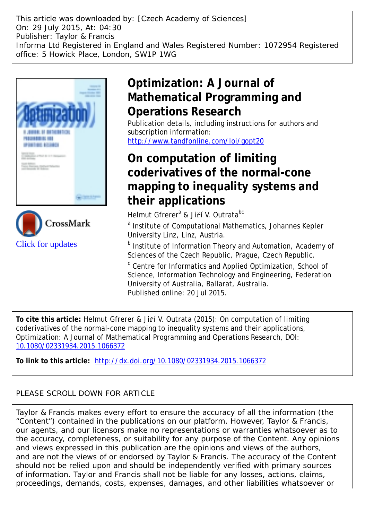This article was downloaded by: [Czech Academy of Sciences] On: 29 July 2015, At: 04:30 Publisher: Taylor & Francis Informa Ltd Registered in England and Wales Registered Number: 1072954 Registered office: 5 Howick Place, London, SW1P 1WG





# **Optimization: A Journal of Mathematical Programming and Operations Research**

Publication details, including instructions for authors and subscription information: <http://www.tandfonline.com/loi/gopt20>

## **On computation of limiting coderivatives of the normal-cone mapping to inequality systems and their applications**

Helmut Gfrerer<sup>a</sup> & Jiří V. Outrata<sup>bc</sup>

<sup>a</sup> Institute of Computational Mathematics, Johannes Kepler University Linz, Linz, Austria.

**b** Institute of Information Theory and Automation, Academy of Sciences of the Czech Republic, Prague, Czech Republic.

<sup>c</sup> Centre for Informatics and Applied Optimization, School of Science, Information Technology and Engineering, Federation University of Australia, Ballarat, Australia. Published online: 20 Jul 2015.

**To cite this article:** Helmut Gfrerer & Jiří V. Outrata (2015): On computation of limiting coderivatives of the normal-cone mapping to inequality systems and their applications, Optimization: A Journal of Mathematical Programming and Operations Research, DOI: [10.1080/02331934.2015.1066372](http://www.tandfonline.com/action/showCitFormats?doi=10.1080/02331934.2015.1066372)

**To link to this article:** <http://dx.doi.org/10.1080/02331934.2015.1066372>

### PLEASE SCROLL DOWN FOR ARTICLE

Taylor & Francis makes every effort to ensure the accuracy of all the information (the "Content") contained in the publications on our platform. However, Taylor & Francis, our agents, and our licensors make no representations or warranties whatsoever as to the accuracy, completeness, or suitability for any purpose of the Content. Any opinions and views expressed in this publication are the opinions and views of the authors, and are not the views of or endorsed by Taylor & Francis. The accuracy of the Content should not be relied upon and should be independently verified with primary sources of information. Taylor and Francis shall not be liable for any losses, actions, claims, proceedings, demands, costs, expenses, damages, and other liabilities whatsoever or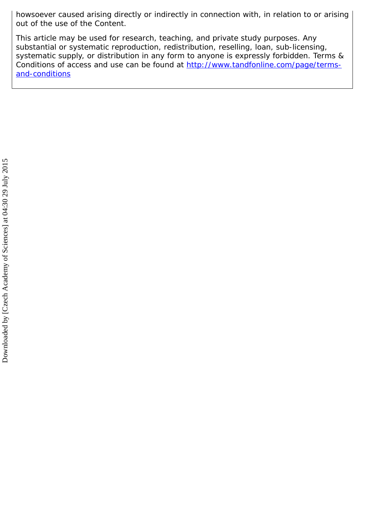howsoever caused arising directly or indirectly in connection with, in relation to or arising out of the use of the Content.

This article may be used for research, teaching, and private study purposes. Any substantial or systematic reproduction, redistribution, reselling, loan, sub-licensing, systematic supply, or distribution in any form to anyone is expressly forbidden. Terms & Conditions of access and use can be found at [http://www.tandfonline.com/page/terms](http://www.tandfonline.com/page/terms-and-conditions)[and-conditions](http://www.tandfonline.com/page/terms-and-conditions)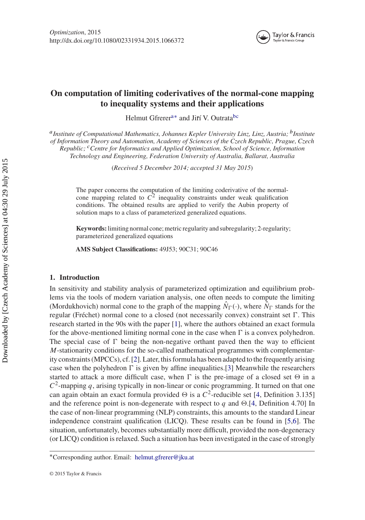<span id="page-2-6"></span><span id="page-2-5"></span><span id="page-2-2"></span>

### **On computation of limiting coderivatives of the normal-cone mapping to inequality systems and their applications**

<span id="page-2-7"></span><span id="page-2-4"></span>Helmut Gfrerer<sup>[a](#page-2-0)[∗](#page-2-1)</sup> and Jiří V. Outrata<sup>[b](#page-2-2)[c](#page-2-3)</sup>

<span id="page-2-0"></span>*a[I](#page-2-4)nstitute of Computational Mathematics, Johannes Kepler University Linz, Linz, Austria; b[I](#page-2-5)nstitute of Information Theory and Automation, Academy of Sciences of the Czech Republic, Prague, Czech Republic; c[C](#page-2-6)entre for Informatics and Applied Optimization, School of Science, Information Technology and Engineering, Federation University of Australia, Ballarat, Australia*

<span id="page-2-3"></span>(*Received 5 December 2014; accepted 31 May 2015*)

The paper concerns the computation of the limiting coderivative of the normalcone mapping related to  $C^2$  inequality constraints under weak qualification conditions. The obtained results are applied to verify the Aubin property of solution maps to a class of parameterized generalized equations.

**Keywords:**limiting normal cone; metric regularity and subregularity; 2-regularity; parameterized generalized equations

**AMS Subject Classifications:** 49J53; 90C31; 90C46

#### **1. Introduction**

In sensitivity and stability analysis of parameterized optimization and equilibrium problems via the tools of modern variation analysis, one often needs to compute the limiting (Mordukhovich) normal cone to the graph of the mapping  $\hat{N}_{\Gamma}(\cdot)$ , where  $\hat{N}_{\Gamma}$  stands for the regular (Fréchet) normal cone to a closed (not necessarily convex) constraint set  $\Gamma$ . This research started in the 90s with the paper [\[1\]](#page-30-0), where the authors obtained an exact formula for the above-mentioned limiting normal cone in the case when  $\Gamma$  is a convex polyhedron. The special case of  $\Gamma$  being the non-negative orthant paved then the way to efficient *M*-stationarity conditions for the so-called mathematical programmes with complementarity constraints (MPCCs), cf. [\[2\]](#page-30-1). Later, this formula has been adapted to the frequently arising case when the polyhedron  $\Gamma$  is given by affine inequalities.[\[3\]](#page-30-2) Meanwhile the researchers started to attack a more difficult case, when  $\Gamma$  is the pre-image of a closed set  $\Theta$  in a  $C<sup>2</sup>$ -mapping *q*, arising typically in non-linear or conic programming. It turned on that one can again obtain an exact formula provided  $\Theta$  is a  $C^2$ -reducible set [\[4](#page-30-3), Definition 3.135] and the reference point is non-degenerate with respect to *q* and  $\Theta$ .[\[4,](#page-30-3) Definition 4.70] In the case of non-linear programming (NLP) constraints, this amounts to the standard Linear independence constraint qualification (LICQ). These results can be found in [\[5](#page-30-4)[,6\]](#page-30-5). The situation, unfortunately, becomes substantially more difficult, provided the non-degeneracy (or LICQ) condition is relaxed. Such a situation has been investigated in the case of strongly

<span id="page-2-1"></span>[<sup>∗</sup>](#page-2-7)Corresponding author. Email: helmut.gfrerer@jku.at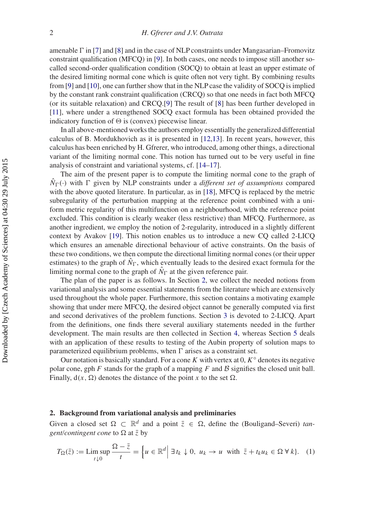amenable  $\Gamma$  in [\[7\]](#page-30-6) and [\[8\]](#page-30-7) and in the case of NLP constraints under Mangasarian–Fromovitz constraint qualification (MFCQ) in [\[9](#page-30-8)]. In both cases, one needs to impose still another socalled second-order qualification condition (SOCQ) to obtain at least an upper estimate of the desired limiting normal cone which is quite often not very tight. By combining results from [\[9\]](#page-30-8) and [\[10](#page-30-9)], one can further show that in the NLP case the validity of SOCQ is implied by the constant rank constraint qualification (CRCQ) so that one needs in fact both MFCQ (or its suitable relaxation) and CRCQ.[\[9\]](#page-30-8) The result of [\[8](#page-30-7)] has been further developed in [\[11\]](#page-30-10), where under a strengthened SOCQ exact formula has been obtained provided the indicatory function of  $\Theta$  is (convex) piecewise linear.

In all above-mentioned works the authors employ essentially the generalized differential calculus of B. Mordukhovich as it is presented in [\[12](#page-30-11)[,13](#page-30-12)]. In recent years, however, this calculus has been enriched by H. Gfrerer, who introduced, among other things, a directional variant of the limiting normal cone. This notion has turned out to be very useful in fine analysis of constraint and variational systems, cf. [\[14](#page-30-13)[–17](#page-30-14)].

The aim of the present paper is to compute the limiting normal cone to the graph of  $\hat{N}_{\Gamma}(\cdot)$  with  $\Gamma$  given by NLP constraints under a *different set of assumptions* compared with the above quoted literature. In particular, as in [\[18\]](#page-30-15), MFCQ is replaced by the metric subregularity of the perturbation mapping at the reference point combined with a uniform metric regularity of this multifunction on a neighbourhood, with the reference point excluded. This condition is clearly weaker (less restrictive) than MFCQ. Furthermore, as another ingredient, we employ the notion of 2-regularity, introduced in a slightly different context by Avakov [\[19](#page-30-16)]. This notion enables us to introduce a new CQ called 2-LICQ which ensures an amenable directional behaviour of active constraints. On the basis of these two conditions, we then compute the directional limiting normal cones (or their upper estimates) to the graph of  $\hat{N}_{\Gamma}$ , which eventually leads to the desired exact formula for the limiting normal cone to the graph of  $\hat{N}_{\Gamma}$  at the given reference pair.

The plan of the paper is as follows. In Section [2,](#page-3-0) we collect the needed notions from variational analysis and some essential statements from the literature which are extensively used throughout the whole paper. Furthermore, this section contains a motivating example showing that under mere MFCQ, the desired object cannot be generally computed via first and second derivatives of the problem functions. Section [3](#page-9-0) is devoted to 2-LICQ. Apart from the definitions, one finds there several auxiliary statements needed in the further development. The main results are then collected in Section [4,](#page-13-0) whereas Section [5](#page-26-0) deals with an application of these results to testing of the Aubin property of solution maps to parameterized equilibrium problems, when  $\Gamma$  arises as a constraint set.

Our notation is basically standard. For a cone *K* with vertex at 0, *K*◦ denotes its negative polar cone, gph *F* stands for the graph of a mapping *F* and *B* signifies the closed unit ball. Finally,  $d(x, \Omega)$  denotes the distance of the point x to the set  $\Omega$ .

#### <span id="page-3-0"></span>**2. Background from variational analysis and preliminaries**

Given a closed set  $\Omega \subset \mathbb{R}^d$  and a point  $\overline{z} \in \Omega$ , define the (Bouligand–Severi) *tangent/contingent cone* to  $\Omega$  at  $\overline{z}$  by

$$
T_{\Omega}(\bar{z}) := \limsup_{t \downarrow 0} \frac{\Omega - \bar{z}}{t} = \left\{ u \in \mathbb{R}^d \middle| \exists t_k \downarrow 0, \ u_k \to u \text{ with } \bar{z} + t_k u_k \in \Omega \ \forall \ k \right\}. \tag{1}
$$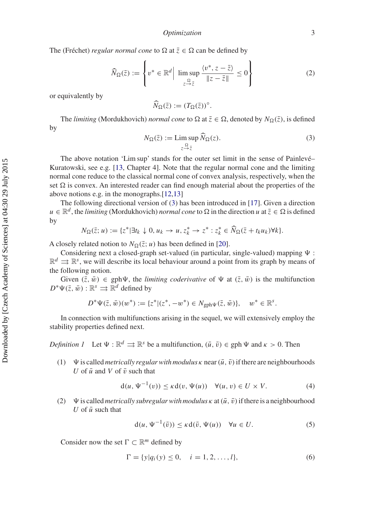The (Fréchet) *regular normal cone* to  $\Omega$  at  $\overline{z} \in \Omega$  can be defined by

$$
\widehat{N}_{\Omega}(\bar{z}) := \left\{ v^* \in \mathbb{R}^d \Big| \limsup_{\substack{\Omega \\ z \to \bar{z}}} \frac{\langle v^*, z - \bar{z} \rangle}{\|z - \bar{z}\|} \le 0 \right\}
$$
(2)

or equivalently by

$$
\widehat{N}_{\Omega}(\overline{z}) := (T_{\Omega}(\overline{z}))^{\circ}.
$$

<span id="page-4-0"></span>The *limiting* (Mordukhovich) *normal cone* to  $\Omega$  at  $\overline{z} \in \Omega$ , denoted by  $N_{\Omega}(\overline{z})$ , is defined by

$$
N_{\Omega}(\bar{z}) := \limsup_{z \to \bar{z}} \widehat{N}_{\Omega}(z). \tag{3}
$$

The above notation 'Lim sup' stands for the outer set limit in the sense of Painlevé– Kuratowski, see e.g. [\[13](#page-30-12), Chapter 4]. Note that the regular normal cone and the limiting normal cone reduce to the classical normal cone of convex analysis, respectively, when the set  $\Omega$  is convex. An interested reader can find enough material about the properties of the above notions e.g. in the monographs.[\[12](#page-30-11)[,13](#page-30-12)]

The following directional version of [\(3\)](#page-4-0) has been introduced in [\[17](#page-30-14)]. Given a direction  $u \in \mathbb{R}^d$ , the *limiting* (Mordukhovich) *normal cone* to  $\Omega$  in the direction *u* at  $\overline{z} \in \Omega$  is defined by

$$
N_{\Omega}(\bar{z};u) := \{z^*|\exists t_k \downarrow 0, u_k \to u, z_k^* \to z^* : z_k^* \in \widehat{N}_{\Omega}(\bar{z} + t_k u_k) \forall k\}.
$$

A closely related notion to  $N_{\Omega}(\bar{z}; u)$  has been defined in [\[20](#page-30-17)].

Considering next a closed-graph set-valued (in particular, single-valued) mapping  $\Psi$ :  $\mathbb{R}^d \rightrightarrows \mathbb{R}^s$ , we will describe its local behaviour around a point from its graph by means of the following notion.

Given  $(\bar{z}, \bar{w}) \in gph \Psi$ , the *limiting coderivative* of  $\Psi$  at  $(\bar{z}, \bar{w})$  is the multifunction  $D^*\Psi(\bar{z}, \bar{w}): \mathbb{R}^s \rightrightarrows \mathbb{R}^d$  defined by

$$
D^*\Psi(\bar{z}, \bar{w})(w^*) := \{z^* | (z^*, -w^*) \in N_{\text{gph}\Psi}(\bar{z}, \bar{w})\}, \quad w^* \in \mathbb{R}^s.
$$

In connection with multifunctions arising in the sequel, we will extensively employ the stability properties defined next.

*Definition 1* Let  $\Psi : \mathbb{R}^d \implies \mathbb{R}^s$  be a multifunction,  $(\bar{u}, \bar{v}) \in \text{gph } \Psi$  and  $\kappa > 0$ . Then

(1)  $\Psi$  is called *metrically regular with modulus*  $\kappa$  near ( $\bar{u}$ ,  $\bar{v}$ ) if there are neighbourhoods *U* of  $\bar{u}$  and *V* of  $\bar{v}$  such that

$$
d(u, \Psi^{-1}(v)) \le \kappa d(v, \Psi(u)) \quad \forall (u, v) \in U \times V. \tag{4}
$$

(2)  $\Psi$  is called *metrically subregular with modulus*  $\kappa$  at  $(\bar{u}, \bar{v})$  if there is a neighbourhood *U* of  $\bar{u}$  such that

<span id="page-4-1"></span>
$$
d(u, \Psi^{-1}(\bar{v})) \le \kappa d(\bar{v}, \Psi(u)) \quad \forall u \in U.
$$
 (5)

Consider now the set  $\Gamma \subset \mathbb{R}^m$  defined by

$$
\Gamma = \{y | q_i(y) \le 0, \quad i = 1, 2, \dots, l\},\tag{6}
$$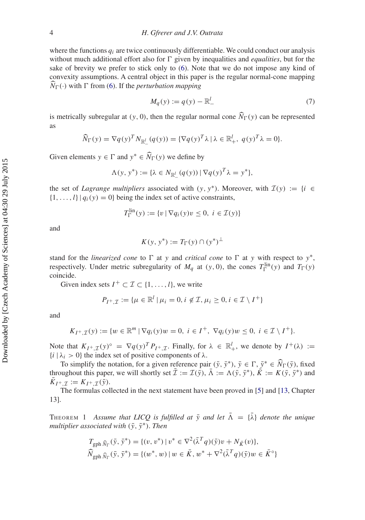where the functions *qi* are twice continuously differentiable. We could conduct our analysis without much additional effort also for  $\Gamma$  given by inequalities and *equalities*, but for the sake of brevity we prefer to stick only to [\(6\)](#page-4-1). Note that we do not impose any kind of convexity assumptions. A central object in this paper is the regular normal-cone mapping  $\hat{N}_{\Gamma}(\cdot)$  with  $\Gamma$  from [\(6\)](#page-4-1). If the *perturbation mapping* 

<span id="page-5-0"></span>
$$
M_q(y) := q(y) - \mathbb{R}^l_-\tag{7}
$$

is metrically subregular at  $(y, 0)$ , then the regular normal cone  $N_{\Gamma}(y)$  can be represented as

$$
\widehat{N}_{\Gamma}(y) = \nabla q(y)^{T} N_{\mathbb{R}_{-}^{l}}(q(y)) = {\nabla q(y)^{T} \lambda \mid \lambda \in \mathbb{R}_{+}^{l}, \ q(y)^{T} \lambda = 0}.
$$

Given elements  $y \in \Gamma$  and  $y^* \in \widehat{N}_{\Gamma}(y)$  we define by

$$
\Lambda(y, y^*) := \{ \lambda \in N_{\mathbb{R}^l_-}(q(y)) \, | \, \nabla q(y)^T \lambda = y^* \},
$$

the set of *Lagrange multipliers* associated with  $(y, y^*)$ . Moreover, with  $\mathcal{I}(y) := \{i \in$  $\{1, \ldots, l\}$  |  $q_i(y) = 0$ } being the index set of active constraints,

$$
T_{\Gamma}^{\text{lin}}(y) := \{ v \mid \nabla q_i(y)v \le 0, \ i \in \mathcal{I}(y) \}
$$

and

$$
K(y, y^*) := T_{\Gamma}(y) \cap (y^*)^{\perp}
$$

stand for the *linearized cone* to  $\Gamma$  at *y* and *critical cone* to  $\Gamma$  at *y* with respect to  $y^*$ , respectively. Under metric subregularity of  $M_q$  at  $(y, 0)$ , the cones  $T_{\Gamma}^{\text{lin}}(y)$  and  $T_{\Gamma}(y)$ coincide.

Given index sets  $I^+ \subset I \subset \{1, ..., l\}$ , we write

$$
P_{I^+, \mathcal{I}} := \{ \mu \in \mathbb{R}^l \mid \mu_i = 0, i \notin \mathcal{I}, \mu_i \ge 0, i \in \mathcal{I} \setminus I^+ \}
$$

and

$$
K_{I^+,\mathcal{I}}(y) := \{ w \in \mathbb{R}^m \mid \nabla q_i(y)w = 0, \ i \in I^+, \ \nabla q_i(y)w \le 0, \ i \in \mathcal{I} \setminus I^+ \}.
$$

Note that  $K_{I^+,\mathcal{I}}(y)^\circ = \nabla q(y)^T P_{I^+,\mathcal{I}}$ . Finally, for  $\lambda \in \mathbb{R}^l_+$ , we denote by  $I^+(\lambda) :=$  ${i \mid \lambda_i > 0}$  the index set of positive components of  $\lambda$ .

To simplify the notation, for a given reference pair  $(\bar{y}, \bar{y}^*)$ ,  $\bar{y} \in \Gamma$ ,  $\bar{y}^* \in \widehat{N}_{\Gamma}(\bar{y})$ , fixed throughout this paper, we will shortly set  $\bar{\mathcal{I}} := \mathcal{I}(\bar{y}), \bar{\Lambda} := \Lambda(\bar{y}, \bar{y}^*)$ ,  $\bar{K} := K(\bar{y}, \bar{y}^*)$  and  $K_{I^+ \mathcal{I}} := K_{I^+ \mathcal{I}}(\bar{y}).$ 

<span id="page-5-1"></span>The formulas collected in the next statement have been proved in [\[5](#page-30-4)] and [\[13](#page-30-12), Chapter 13].

THEOREM 1 *Assume that LICQ is fulfilled at*  $\bar{y}$  *and let*  $\bar{\Lambda} = {\bar{\lambda}}$  *denote the unique multiplier associated with*  $(\bar{y}, \bar{y}^*)$ *. Then* 

$$
T_{\text{gph }\hat{N}_{\Gamma}}(\bar{y}, \bar{y}^*) = \{ (v, v^*) \mid v^* \in \nabla^2(\bar{\lambda}^T q)(\bar{y})v + N_{\bar{K}}(v) \},\
$$
  

$$
\widehat{N}_{\text{gph }\hat{N}_{\Gamma}}(\bar{y}, \bar{y}^*) = \{ (w^*, w) \mid w \in \bar{K}, w^* + \nabla^2(\bar{\lambda}^T q)(\bar{y})w \in \bar{K}^{\circ} \}
$$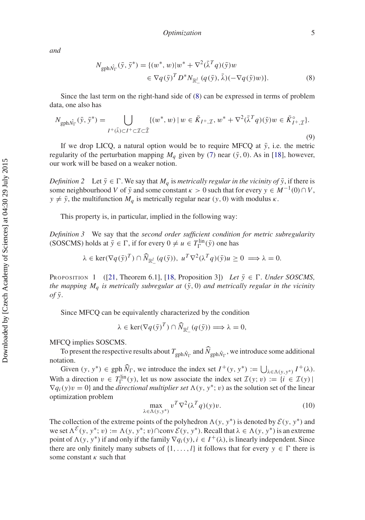*and*

<span id="page-6-0"></span>
$$
N_{\text{gph}\hat{N}_{\Gamma}}(\bar{y}, \bar{y}^*) = \{ (w^*, w) | w^* + \nabla^2 (\bar{\lambda}^T q)(\bar{y}) w \n\in \nabla q(\bar{y})^T D^* N_{\mathbb{R}_-^l} (q(\bar{y}), \bar{\lambda}) (-\nabla q(\bar{y}) w) \}.
$$
\n(8)

Since the last term on the right-hand side of [\(8\)](#page-6-0) can be expressed in terms of problem data, one also has

$$
N_{\text{gph}\hat{N}_{\Gamma}}(\bar{y},\bar{y}^*) = \bigcup_{I^+(\bar{\lambda}) \subset I^+ \subset \mathcal{I} \subset \bar{\mathcal{I}}} \{ (w^*,w) \mid w \in \bar{K}_{I^+, \mathcal{I}}, w^* + \nabla^2(\bar{\lambda}^T q)(\bar{y})w \in \bar{K}_{I^+, \mathcal{I}}^{\circ} \}.
$$
\n(9)

If we drop LICQ, a natural option would be to require MFCQ at  $\bar{y}$ , i.e. the metric regularity of the perturbation mapping  $M_q$  given by [\(7\)](#page-5-0) near ( $\bar{y}$ , 0). As in [\[18\]](#page-30-15), however, our work will be based on a weaker notion.

*Definition 2* Let  $\bar{y} \in \Gamma$ . We say that  $M_q$  is *metrically regular in the vicinity of*  $\bar{y}$ , if there is some neighbourhood *V* of  $\bar{y}$  and some constant  $\kappa > 0$  such that for every  $y \in M^{-1}(0) \cap V$ ,  $y \neq \bar{y}$ , the multifunction  $M_q$  is metrically regular near  $(y, 0)$  with modulus  $\kappa$ .

This property is, in particular, implied in the following way:

*Definition 3* We say that the *second order sufficient condition for metric subregularity* (SOSCMS) holds at  $\bar{y} \in \Gamma$ , if for every  $0 \neq u \in T_{\Gamma}^{\text{lin}}(\bar{y})$  one has

$$
\lambda \in \ker(\nabla q(\bar{\mathbf{y}})^T) \cap \widehat{N}_{\mathbb{R}_-^l}(q(\bar{\mathbf{y}})), \; u^T \nabla^2 (\lambda^T q)(\bar{\mathbf{y}})u \ge 0 \implies \lambda = 0.
$$

PROPOSITION 1 ([\[21](#page-30-18), Theorem 6.1], [\[18](#page-30-15), Proposition 3]) *Let*  $\bar{y} \in \Gamma$ *. Under SOSCMS*, *the mapping*  $M_q$  *is metrically subregular at*  $(\bar{y}, 0)$  *and metrically regular in the vicinity*  $of \overline{y}$ .

Since MFCQ can be equivalently characterized by the condition

 $\lambda \in \text{ker}(\nabla q(\bar{y})^T) \cap \widehat{N}_{\mathbb{R}_-^l}(q(\bar{y})) \Longrightarrow \lambda = 0,$ 

MFCQ implies SOSCMS.

To present the respective results about  $T_{\text{gph}\hat{N}_\Gamma}$  and  $\dot{N}_{\text{gph}\hat{N}_\Gamma}$ , we introduce some additional notation.

Given  $(y, y^*) \in \text{gph } \widehat{N}_{\Gamma}$ , we introduce the index set  $I^+(y, y^*) := \bigcup_{\lambda \in \Lambda(y, y^*)} I^+(\lambda)$ . With a direction  $v \in T_{\Gamma}^{\text{lin}}(y)$ , let us now associate the index set  $\mathcal{I}(y; v) := \{i \in \mathcal{I}(y) | \}$  $\nabla q_i(y)v = 0$  and the *directional multiplier set*  $\Lambda(y, y^*; v)$  as the solution set of the linear optimization problem

<span id="page-6-2"></span><span id="page-6-1"></span>
$$
\max_{\lambda \in \Lambda(y, y^*)} v^T \nabla^2(\lambda^T q)(y) v.
$$
 (10)

The collection of the extreme points of the polyhedron  $\Lambda(y, y^*)$  is denoted by  $\mathcal{E}(y, y^*)$  and we set  $\Lambda^{\mathcal{E}}(y, y^*; v) := \Lambda(y, y^*; v) \cap \text{conv } \mathcal{E}(y, y^*)$ . Recall that  $\lambda \in \Lambda(y, y^*)$  is an extreme point of  $\Lambda(y, y^*)$  if and only if the family  $\nabla q_i(y)$ ,  $i \in I^+(\lambda)$ , is linearly independent. Since there are only finitely many subsets of  $\{1, \ldots, l\}$  it follows that for every  $y \in \Gamma$  there is some constant  $\kappa$  such that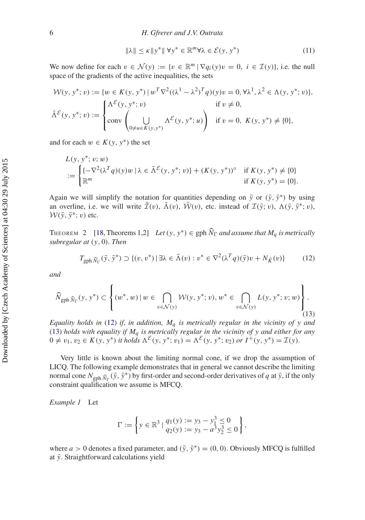$$
\|\lambda\| \le \kappa \|\mathbf{y}^*\| \forall \mathbf{y}^* \in \mathbb{R}^m \forall \lambda \in \mathcal{E}(\mathbf{y}, \mathbf{y}^*)
$$
 (11)

We now define for each  $v \in \mathcal{N}(y) := \{v \in \mathbb{R}^m \mid \nabla q_i(y)v = 0, i \in \mathcal{I}(y)\}\)$ , i.e. the null space of the gradients of the active inequalities, the sets

$$
\mathcal{W}(y, y^*; v) := \{ w \in K(y, y^*) \mid w^T \nabla^2 ((\lambda^1 - \lambda^2)^T q)(y) v = 0, \forall \lambda^1, \lambda^2 \in \Lambda(y, y^*; v) \},
$$
  

$$
\tilde{\Lambda}^{\mathcal{E}}(y, y^*; v) := \begin{cases} \Lambda^{\mathcal{E}}(y, y^*; v) & \text{if } v \neq 0, \\ \text{conv}\left(\bigcup_{0 \neq u \in K(y, y^*)} \Lambda^{\mathcal{E}}(y, y^*; u)\right) & \text{if } v = 0, K(y, y^*) \neq \{0\}, \end{cases}
$$

and for each  $w \in K(y, y^*)$  the set

$$
L(y, y^*; v; w)
$$
  
 := 
$$
\begin{cases} \{-\nabla^2(\lambda^T q)(y)w \mid \lambda \in \tilde{\Lambda}^{\mathcal{E}}(y, y^*; v)\} + (K(y, y^*))^{\circ} & \text{if } K(y, y^*) \neq \{0\} \\ \mathbb{R}^m & \text{if } K(y, y^*) = \{0\}. \end{cases}
$$

Again we will simplify the notation for quantities depending on  $\bar{y}$  or  $(\bar{y}, \bar{y}^*)$  by using an overline, i.e. we will write  $\mathcal{I}(v)$ ,  $\bar{\Lambda}(v)$ ,  $\mathcal{W}(v)$ , etc. instead of  $\mathcal{I}(\bar{y}; v)$ ,  $\Lambda(\bar{y}, \bar{y}^*; v)$ ,  $W(\bar{y}, \bar{y}^*; v)$  etc.

<span id="page-7-2"></span>THEOREM 2 [\[18,](#page-30-15) Theorems 1,2] *Let*  $(y, y^*) \in \text{gph } \widehat{N}_\Gamma$  *and assume that*  $M_q$  *is metrically subregular at* (*y*, 0)*. Then*

<span id="page-7-0"></span>
$$
T_{\text{gph}\,\widehat{N}_{\Gamma}}(\bar{y},\bar{y}^*) \supset \{(v,v^*) \mid \exists \lambda \in \bar{\Lambda}(v) : v^* \in \nabla^2(\lambda^T q)(\bar{y})v + N_{\bar{K}}(v)\} \tag{12}
$$

<span id="page-7-1"></span>*and*

$$
\widehat{N}_{\text{gph}\,\widehat{N}_{\Gamma}}(y, y^*) \subset \left\{ (w^*, w) \, | \, w \in \bigcap_{v \in \mathcal{N}(y)} \mathcal{W}(y, y^*; v), w^* \in \bigcap_{v \in \mathcal{N}(y)} L(y, y^*; v; w) \right\}.
$$
\n(13)

*Equality holds in* [\(12\)](#page-7-0) *if, in addition, Mq is metrically regular in the vicinity of y and* [\(13\)](#page-7-1) *holds with equality if Mq is metrically regular in the vicinity of y and either for any*  $0 \neq v_1, v_2 \in K(y, y^*)$  *it holds*  $\Lambda^{\mathcal{E}}(y, y^*; v_1) = \Lambda^{\mathcal{E}}(y, y^*; v_2)$  *or*  $I^+(y, y^*) = \mathcal{I}(y)$ *.* 

Very little is known about the limiting normal cone, if we drop the assumption of LICQ. The following example demonstrates that in general we cannot describe the limiting normal cone  $N_{\text{gph}}(\bar{y}, \bar{y}^*)$  by first-order and second-order derivatives of *q* at  $\bar{y}$ , if the only  $\frac{1}{\text{constant}}$  constraint qualification we assume is MFCQ.

*Example 1* Let

$$
\Gamma := \left\{ y \in \mathbb{R}^3 \mid \frac{q_1(y) := y_3 - y_1^3 \le 0}{q_2(y) := y_3 - a^3 y_2^3 \le 0} \right\},\
$$

where *a* > 0 denotes a fixed parameter, and  $(\bar{y}, \bar{y}*) = (0, 0)$ . Obviously MFCQ is fulfilled at  $\bar{y}$ . Straightforward calculations yield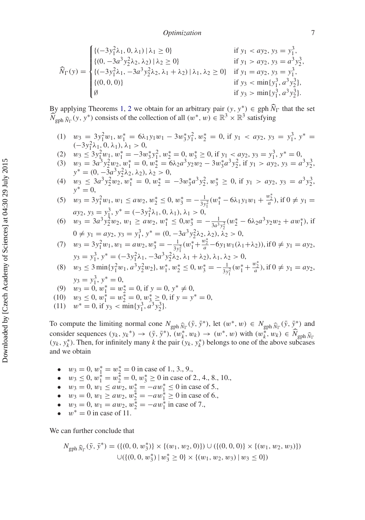*Optimization* 7

$$
\widehat{N}_{\Gamma}(y) = \begin{cases}\n\{(-3y_1^2\lambda_1, 0, \lambda_1) | \lambda_1 \ge 0\} & \text{if } y_1 < ay_2, y_3 = y_1^3, \\
\{(0, -3a^3y_2^2\lambda_2, \lambda_2) | \lambda_2 \ge 0\} & \text{if } y_1 > ay_2, y_3 = a^3y_2^3, \\
\{(-3y_1^2\lambda_1, -3a^3y_2^2\lambda_2, \lambda_1 + \lambda_2) | \lambda_1, \lambda_2 \ge 0\} & \text{if } y_1 = ay_2, y_3 = y_1^3, \\
\{(0, 0, 0)\} & \text{if } y_3 < \min\{y_1^3, a^3y_2^3\}, \\
\emptyset & \text{if } y_3 > \min\{y_1^3, a^3y_2^3\}.\n\end{cases}
$$

By applying Theorems [1,](#page-5-1) [2](#page-7-2) we obtain for an arbitrary pair  $(y, y^*) \in \text{gph } \widehat{N}_{\Gamma}$  that the set  $\widehat{N}_{\text{gph}}(\mathbf{y}, \mathbf{y}^*)$  consists of the collection of all  $(w^*, w) \in \mathbb{R}^3 \times \mathbb{R}^3$  satisfying

- (1)  $w_3 = 3y_1^2 w_1, w_1^* = 6\lambda_1 y_1 w_1 3w_3^* y_1^2, w_2^* = 0$ , if  $y_1 < ay_2, y_3 = y_1^3, y^* = 0$  $(-3y_1^2\lambda_1, 0, \lambda_1), \lambda_1 > 0,$
- (2)  $w_3 \le 3y_1^2 w_1, w_1^* = -3w_3^* y_1^2, w_2^* = 0, w_3^* \ge 0$ , if  $y_1 < ay_2, y_3 = y_1^3, y^* = 0$ ,
- (3)  $w_3 = 3a^3 y_2^2 w_2, w_1^* = 0, w_2^* = 6\lambda_2 a^3 y_2 w_2 3w_3^* a^3 y_2^2$ , if  $y_1 > ay_2, y_3 = a^3 y_2^3$ ,  $y^* = (0, -3a^3y_2^2\lambda_2, \lambda_2), \lambda_2 > 0,$
- (4)  $w_3 \leq 3a^3 y_2^2 w_2, w_1^* = 0, w_2^* = -3w_3^* a^3 y_2^2, w_3^* \geq 0$ , if  $y_1 > ay_2, y_3 = a^3 y_2^3$ , *y*<sup>∗</sup> = 0,

(5) 
$$
w_3 = 3y_1^2 w_1, w_1 \le aw_2, w_2^* \le 0, w_3^* = -\frac{1}{3y_1^2} (w_1^* - 6\lambda_1 y_1 w_1 + \frac{w_2^*}{a}), \text{ if } 0 \ne y_1 = ay_2, y_3 = y_1^3, y^* = (-3y_1^2 \lambda_1, 0, \lambda_1), \lambda_1 > 0,
$$

- (6)  $w_3 = 3a^3 y_2^2 w_2, w_1 \ge a w_2, w_1^* \le 0, w_3^* = -\frac{1}{3a^3 y_2^2} (w_2^* 6\lambda_2 a^3 y_2 w_2 + a w_1^*),$  if  $0 ≠ y_1 = ay_2, y_3 = y_1^3, y^* = (0, -3a^3y_2^2λ_2, λ_2), λ_2 > 0,$
- (7)  $w_3 = 3y_1^2w_1, w_1 = aw_2, w_3^* = -\frac{1}{3y_1^2}(w_1^* + \frac{w_2^*}{a} 6y_1w_1(\lambda_1 + \lambda_2)),$  if  $0 \neq y_1 = ay_2$ ,  $y_3 = y_1^3, y^* = (-3y_1^2\lambda_1, -3a^3y_2^2\lambda_2, \lambda_1 + \lambda_2), \lambda_1, \lambda_2 > 0,$

(8) 
$$
w_3 \le 3 \min\{y_1^2 w_1, a^3 y_2^2 w_2\}, w_1^*, w_2^* \le 0, w_3^* = -\frac{1}{3y_1^2}(w_1^* + \frac{w_2^*}{a}), \text{ if } 0 \ne y_1 = ay_2,
$$
  
 $y_3 = y_1^3, y^* = 0,$ 

(9) 
$$
w_3 = 0, w_1^* = w_2^* = 0
$$
, if  $y = 0, y^* \neq 0$ ,

(10) 
$$
w_3 \le 0, w_1^* = w_2^* = 0, w_3^* \ge 0
$$
, if  $y = y^* = 0$ ,

(11)  $w^* = 0$ , if  $y_3 < \min\{y_1^3, a^3y_2^3\}.$ 

To compute the limiting normal cone  $N_{\text{gph}} \hat{N}_{\Gamma}(\bar{y}, \bar{y}^*)$ , let  $(w^*, w) \in N_{\text{gph}} \hat{N}_{\Gamma}(\bar{y}, \bar{y}^*)$  and consider sequences  $(y_k, y_k^*) \to (\bar{y}, \bar{y}^*), (w_k^*, w_k) \to (w^*, w)$  with  $(w_k^*, w_k) \in \widehat{N}_{\text{gph }\widehat{N}}$  $(y_k, y_k^*)$ . Then, for infinitely many *k* the pair  $(y_k, y_k^*)$  belongs to one of the above subcases and we obtain

- $w_3 = 0$ ,  $w_1^* = w_2^* = 0$  in case of 1., 3., 9.,
- $w_3 \le 0$ ,  $w_1^* = w_2^* = 0$ ,  $w_3^* \ge 0$  in case of 2., 4., 8., 10.,
- $w_3 = 0, w_1 \leq a w_2, w_2^* = -a w_1^* \leq 0$  in case of 5.,
- $w_3 = 0, w_1 \ge a w_2, w_2^* = -a w_1^* \ge 0$  in case of 6.,
- $w_3 = 0, w_1 = aw_2, w_2^* = -aw_1^*$  in case of 7.,
- $w^* = 0$  in case of 11.

We can further conclude that

$$
N_{\text{gph }\widehat{N}_{\Gamma}}(\bar{y}, \bar{y}^*) = (\{(0, 0, w_3^*)\} \times \{(w_1, w_2, 0)\}) \cup (\{(0, 0, 0)\} \times \{(w_1, w_2, w_3)\})
$$
  

$$
\cup (\{(0, 0, w_3^*) \mid w_3^* \ge 0\} \times \{(w_1, w_2, w_3) \mid w_3 \le 0\})
$$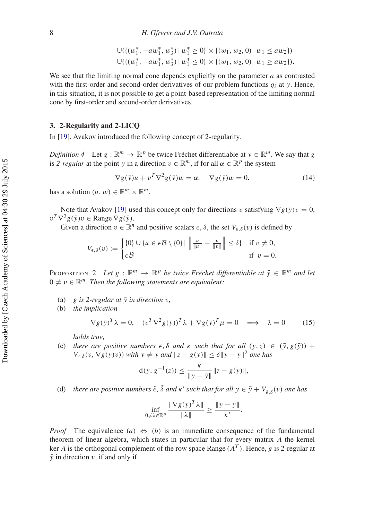$$
\bigcup \{ \{ (w_1^*, -aw_1^*, w_3^*) \mid w_1^* \ge 0 \} \times \{ (w_1, w_2, 0) \mid w_1 \le aw_2 \} \big) \n\bigcup (\{ (w_1^*, -aw_1^*, w_3^*) \mid w_1^* \le 0 \} \times \{ (w_1, w_2, 0) \mid w_1 \ge aw_2 \} ).
$$

We see that the limiting normal cone depends explicitly on the parameter *a* as contrasted with the first-order and second-order derivatives of our problem functions  $q_i$  at  $\bar{y}$ . Hence, in this situation, it is not possible to get a point-based representation of the limiting normal cone by first-order and second-order derivatives.

#### <span id="page-9-0"></span>**3. 2-Regularity and 2-LICQ**

In [\[19](#page-30-16)], Avakov introduced the following concept of 2-regularity.

*Definition 4* Let  $g : \mathbb{R}^m \to \mathbb{R}^p$  be twice Fréchet differentiable at  $\bar{y} \in \mathbb{R}^m$ . We say that *g* is 2-regular at the point  $\bar{y}$  in a direction  $v \in \mathbb{R}^m$ , if for all  $\alpha \in \mathbb{R}^p$  the system

$$
\nabla g(\bar{y})u + v^T \nabla^2 g(\bar{y})w = \alpha, \quad \nabla g(\bar{y})w = 0.
$$
 (14)

has a solution  $(u, w) \in \mathbb{R}^m \times \mathbb{R}^m$ .

Note that Avakov [\[19](#page-30-16)] used this concept only for directions v satisfying  $\nabla g(\bar{y})v = 0$ ,  $v^T \nabla^2 g(\bar{y})v \in \text{Range } \nabla g(\bar{y}).$ 

Given a direction  $v \in \mathbb{R}^n$  and positive scalars  $\epsilon$ ,  $\delta$ , the set  $V_{\epsilon,\delta}(v)$  is defined by

$$
V_{\epsilon,\delta}(v) := \begin{cases} \{0\} \cup \{u \in \epsilon \mathcal{B} \setminus \{0\} \mid \left\| \frac{u}{\|u\|} - \frac{v}{\|v\|} \right\| \le \delta \} & \text{if } v \neq 0, \\ \epsilon \mathcal{B} & \text{if } v = 0. \end{cases}
$$

<span id="page-9-2"></span>PROPOSITION 2 *Let*  $g : \mathbb{R}^m \to \mathbb{R}^p$  *be twice Fréchet differentiable at*  $\bar{y} \in \mathbb{R}^m$  *and let*  $0 \neq v \in \mathbb{R}^m$ . Then the following statements are equivalent:

(a)  $g$  is 2-regular at  $\bar{y}$  in direction  $v$ ,

(b) *the implication*

<span id="page-9-1"></span>
$$
\nabla g(\bar{\mathbf{y}})^T \lambda = 0, \quad (v^T \nabla^2 g(\bar{\mathbf{y}}))^T \lambda + \nabla g(\bar{\mathbf{y}})^T \mu = 0 \implies \lambda = 0 \tag{15}
$$

*holds true,*

(c) there are positive numbers  $\epsilon$ ,  $\delta$  and  $\kappa$  *such that for all*  $(y, z) \in (\bar{y}, g(\bar{y}))$  +  $V_{\epsilon,\delta}(v, \nabla g(\bar{y})v)$ ) *with*  $y \neq \bar{y}$  and  $||z - g(y)|| \leq \delta ||y - \bar{y}||^2$  one has

$$
d(y, g^{-1}(z)) \le \frac{\kappa}{\|y - \bar{y}\|} \|z - g(y)\|,
$$

(d) there are positive numbers  $\tilde{\epsilon}$ ,  $\tilde{\delta}$  and  $\kappa'$  such that for all  $y \in \bar{y} + V_{\tilde{\epsilon}, \tilde{\delta}}(v)$  one has

$$
\inf_{0 \neq \lambda \in \mathbb{R}^p} \frac{\|\nabla g(y)^T \lambda\|}{\|\lambda\|} \geq \frac{\|y - \bar{y}\|}{\kappa'}.
$$

*Proof* The equivalence  $(a) \Leftrightarrow (b)$  is an immediate consequence of the fundamental theorem of linear algebra, which states in particular that for every matrix *A* the kernel ker *A* is the orthogonal complement of the row space Range  $(A^T)$ . Hence, *g* is 2-regular at  $\bar{y}$  in direction v, if and only if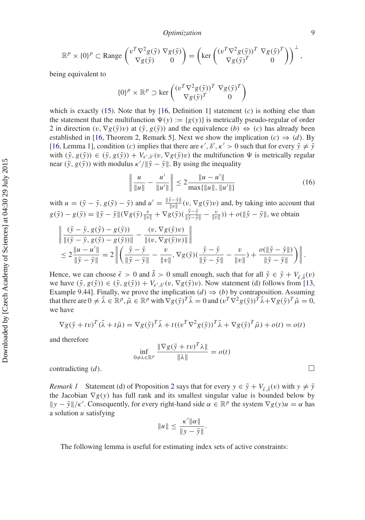*Optimization* 9

$$
\mathbb{R}^p \times \{0\}^p \subset \text{Range}\begin{pmatrix} v^T \nabla^2 g(\bar{y}) \nabla g(\bar{y}) \\ \nabla g(\bar{y}) & 0 \end{pmatrix} = \left(\text{ker}\begin{pmatrix} (v^T \nabla^2 g(\bar{y}))^T \nabla g(\bar{y})^T \\ \nabla g(\bar{y})^T & 0 \end{pmatrix}\right)^{\perp},
$$

being equivalent to

$$
\{0\}^p \times \mathbb{R}^p \supset \text{ker}\left(\frac{(v^T \nabla^2 g(\bar{y}))^T \nabla g(\bar{y})^T}{\nabla g(\bar{y})^T} \right)
$$

which is exactly  $(15)$ . Note that by  $[16,$  $[16,$  Definition 1] statement  $(c)$  is nothing else than the statement that the multifunction  $\Psi(y) := \{g(y)\}\$ is metrically pseudo-regular of order 2 in direction  $(v, \nabla g(\bar{y})v)$  at  $(\bar{y}, g(\bar{y}))$  and the equivalence  $(b) \Leftrightarrow (c)$  has already been established in [\[16](#page-30-19), Theorem 2, Remark 5]. Next we show the implication  $(c) \Rightarrow (d)$ . By [\[16](#page-30-19), Lemma 1], condition (*c*) implies that there are  $\epsilon'$ ,  $\delta', \kappa' > 0$  such that for every  $\tilde{y} \neq \tilde{y}$ with  $(\tilde{y}, g(\tilde{y})) \in (\bar{y}, g(\bar{y})) + V_{\epsilon', \delta'}(v, \nabla g(\bar{y})v)$  the multifunction  $\Psi$  is metrically regular near  $(\tilde{y}, g(\tilde{y}))$  with modulus  $\kappa'/\|\tilde{y} - \bar{y}\|$ . By using the inequality

$$
\left\| \frac{u}{\|u\|} - \frac{u'}{\|u'\|} \right\| \le 2 \frac{\|u - u'\|}{\max\{\|u\|, \|u'\|\}} \tag{16}
$$

with  $u = (\tilde{y} - \bar{y}, g(\tilde{y}) - \bar{y})$  and  $u' = \frac{\|\tilde{y} - \bar{y}\|}{\|v\|}(v, \nabla g(\bar{y})v)$  and, by taking into account that  $g(\tilde{y}) - g(\bar{y}) = ||\tilde{y} - \bar{y}||(\nabla g(\bar{y})\frac{v}{||v||} + \nabla g(\bar{y})(\frac{\tilde{y} - \bar{y}}{||\tilde{y} - \bar{y}||} - \frac{v}{||v||})) + o(||\tilde{y} - \bar{y}||$ , we obtain

$$
\begin{aligned}\n&\left\|\frac{(\tilde{y}-\bar{y}, g(\tilde{y})-g(\bar{y}))}{\|(\tilde{y}-\bar{y}, g(\tilde{y})-g(\tilde{y}))\|} - \frac{(v, \nabla g(\bar{y})v)}{\|(v, \nabla g(\bar{y})v)\|}\right\| \\
&\leq 2\frac{\|u-u'\|}{\|\tilde{y}-\bar{y}\|} = 2\left\|\left(\frac{\tilde{y}-\bar{y}}{\|\tilde{y}-\bar{y}\|} - \frac{v}{\|v\|}, \nabla g(\bar{y})(\frac{\tilde{y}-\bar{y}}{\|\tilde{y}-\bar{y}\|} - \frac{v}{\|v\|}) + \frac{o(\|\tilde{y}-\bar{y}\|)}{\|\tilde{y}-\bar{y}\|}\right)\right\|.\n\end{aligned}
$$

Hence, we can choose  $\tilde{\epsilon} > 0$  and  $\tilde{\delta} > 0$  small enough, such that for all  $\tilde{y} \in \bar{y} + V_{\tilde{\epsilon}, \tilde{\delta}}(v)$ we have  $(\tilde{y}, g(\tilde{y})) \in (\bar{y}, g(\bar{y})) + V_{\epsilon', \delta'}(v, \nabla g(\bar{y})v)$ . Now statement (d) follows from [\[13](#page-30-12), Example 9.44]. Finally, we prove the implication  $(d) \Rightarrow (b)$  by contraposition. Assuming that there are  $0 \neq \bar{\lambda} \in \mathbb{R}^p$ ,  $\bar{\mu} \in \mathbb{R}^p$  with  $\nabla g(\bar{y})^T \bar{\lambda} = 0$  and  $(v^T \nabla^2 g(\bar{y}))^T \bar{\lambda} + \nabla g(\bar{y})^T \bar{\mu} = 0$ , we have

$$
\nabla g(\bar{y} + tv)^T (\bar{\lambda} + t\bar{\mu}) = \nabla g(\bar{y})^T \bar{\lambda} + t((v^T \nabla^2 g(\bar{y}))^T \bar{\lambda} + \nabla g(\bar{y})^T \bar{\mu}) + o(t) = o(t)
$$

and therefore

$$
\inf_{0 \neq \lambda \in \mathbb{R}^p} \frac{\|\nabla g(\bar{y} + tv)^T \lambda\|}{\|\lambda\|} = o(t)
$$

contradicting  $(d)$ .

<span id="page-10-1"></span>*Remark 1* Statement (d) of Proposition [2](#page-9-2) says that for every  $y \in \bar{y} + V_{\tilde{\epsilon}, \tilde{\delta}}(v)$  with  $y \neq \bar{y}$ the Jacobian  $\nabla g(y)$  has full rank and its smallest singular value is bounded below by  $||y - \bar{y}||/\kappa'$ . Consequently, for every right-hand side  $\alpha \in \mathbb{R}^p$  the system  $\nabla g(y)u = \alpha$  has a solution *u* satisfying

<span id="page-10-0"></span>
$$
||u|| \leq \frac{\kappa' ||\alpha||}{||y-\overline{y}||}.
$$

The following lemma is useful for estimating index sets of active constraints: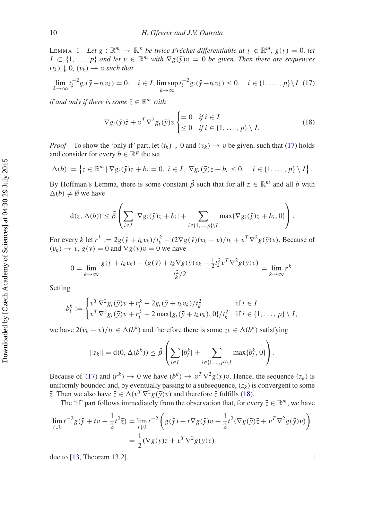LEMMA 1 *Let*  $g : \mathbb{R}^m \to \mathbb{R}^p$  *be twice Fréchet differentiable at*  $\bar{y} \in \mathbb{R}^m$ ,  $g(\bar{y}) = 0$ , let *I* ⊂  $\{1, ..., p\}$  *and let*  $v \in \mathbb{R}^m$  *with*  $\nabla g(\overline{y})v = 0$  *be given. Then there are sequences*  $(t_k) \downarrow 0$ ,  $(v_k) \rightarrow v$  *such that* 

$$
\lim_{k \to \infty} t_k^{-2} g_i(\bar{y} + t_k v_k) = 0, \quad i \in I, \limsup_{k \to \infty} t_k^{-2} g_i(\bar{y} + t_k v_k) \le 0, \quad i \in \{1, ..., p\} \setminus I \tag{17}
$$

*if and only if there is some*  $\bar{z} \in \mathbb{R}^m$  *with* 

<span id="page-11-1"></span><span id="page-11-0"></span>
$$
\nabla g_i(\bar{\mathbf{y}})\bar{z} + v^T \nabla^2 g_i(\bar{\mathbf{y}}) v \begin{cases} = 0 & \text{if } i \in I \\ \leq 0 & \text{if } i \in \{1, \dots, p\} \setminus I. \end{cases} \tag{18}
$$

*Proof* To show the 'only if' part, let  $(t_k) \downarrow 0$  and  $(v_k) \rightarrow v$  be given, such that [\(17\)](#page-11-0) holds and consider for every  $b \in \mathbb{R}^p$  the set

$$
\Delta(b) := \left\{ z \in \mathbb{R}^m \mid \nabla g_i(\bar{y})z + b_i = 0, \ i \in I, \ \nabla g_i(\bar{y})z + b_i \leq 0, \quad i \in \{1, \dots, p\} \setminus I \right\}.
$$

By Hoffman's Lemma, there is some constant  $\tilde{\beta}$  such that for all  $z \in \mathbb{R}^m$  and all *b* with  $\Delta(b) \neq \emptyset$  we have

$$
d(z, \Delta(b)) \leq \tilde{\beta} \left( \sum_{i \in I} |\nabla g_i(\bar{y})z + b_i| + \sum_{i \in \{1, ..., p\} \setminus I} \max \{ \nabla g_i(\bar{y})z + b_i, 0 \} \right).
$$

For every *k* let  $r^k := 2g(\bar{y} + t_k v_k)/t_k^2 - (2\nabla g(\bar{y})(v_k - v)/t_k + v^T \nabla^2 g(\bar{y})v)$ . Because of  $(v_k) \rightarrow v$ ,  $g(\bar{y}) = 0$  and  $\nabla g(\bar{y})v = 0$  we have

$$
0 = \lim_{k \to \infty} \frac{g(\bar{y} + t_k v_k) - (g(\bar{y}) + t_k \nabla g(\bar{y}) v_k + \frac{1}{2} t_k^2 v^T \nabla^2 g(\bar{y}) v)}{t_k^2 / 2} = \lim_{k \to \infty} r^k.
$$

Setting

$$
b_i^k := \begin{cases} v^T \nabla^2 g_i(\bar{y}) v + r_i^k - 2g_i(\bar{y} + t_k v_k)/t_k^2 & \text{if } i \in I \\ v^T \nabla^2 g_i(\bar{y}) v + r_i^k - 2 \max\{g_i(\bar{y} + t_k v_k), 0\}/t_k^2 & \text{if } i \in \{1, ..., p\} \setminus I, \end{cases}
$$

we have  $2(v_k - v)/t_k \in \Delta(b^k)$  and therefore there is some  $z_k \in \Delta(b^k)$  satisfying

$$
||z_k|| = d(0, \Delta(b^k)) \le \tilde{\beta} \left( \sum_{i \in I} |b_i^k| + \sum_{i \in \{1, ..., p\} \setminus I} \max\{b_i^k, 0\} \right).
$$

Because of [\(17\)](#page-11-0) and  $(r^k) \to 0$  we have  $(b^k) \to v^T \nabla^2 g(\bar{y}) v$ . Hence, the sequence  $(z_k)$  is uniformly bounded and, by eventually passing to a subsequence,  $(z_k)$  is convergent to some  $\overline{z}$ . Then we also have  $\overline{z} \in \Delta(v^T \nabla^2 g(\overline{y})v)$  and therefore  $\overline{z}$  fulfills [\(18\)](#page-11-1).

The 'if' part follows immediately from the observation that, for every  $\bar{z} \in \mathbb{R}^m$ , we have

$$
\lim_{t \downarrow 0} t^{-2} g(\bar{y} + tv + \frac{1}{2} t^2 \bar{z}) = \lim_{t \downarrow 0} t^{-2} \left( g(\bar{y}) + t \nabla g(\bar{y}) v + \frac{1}{2} t^2 (\nabla g(\bar{y}) \bar{z} + v^T \nabla^2 g(\bar{y}) v) \right)
$$
  
=  $\frac{1}{2} (\nabla g(\bar{y}) \bar{z} + v^T \nabla^2 g(\bar{y}) v)$ 

due to [\[13](#page-30-12), Theorem 13.2].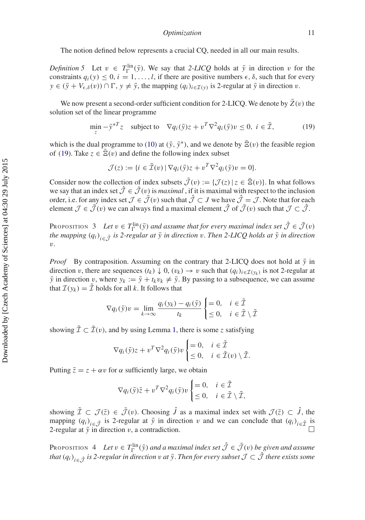The notion defined below represents a crucial CQ, needed in all our main results.

*Definition 5* Let  $v \in T_{\Gamma}^{\text{lin}}(\bar{y})$ . We say that 2-LICQ holds at  $\bar{y}$  in direction v for the constraints  $q_i(y) \leq 0$ ,  $i = 1, ..., l$ , if there are positive numbers  $\epsilon$ ,  $\delta$ , such that for every  $y \in (\bar{y} + V_{\epsilon,\delta}(v)) \cap \Gamma$ ,  $y \neq \bar{y}$ , the mapping  $(q_i)_{i \in \mathcal{I}(y)}$  is 2-regular at  $\bar{y}$  in direction v.

We now present a second-order sufficient condition for 2-LICQ. We denote by  $\overline{Z}(v)$  the solution set of the linear programme

<span id="page-12-0"></span>
$$
\min_{z} -\bar{y}^{*T}z \quad \text{subject to} \quad \nabla q_i(\bar{y})z + v^T \nabla^2 q_i(\bar{y})v \le 0, \ i \in \bar{\mathcal{I}}, \tag{19}
$$

which is the dual programme to [\(10\)](#page-6-1) at  $(\bar{y}, \bar{y}^*)$ , and we denote by  $\bar{E}(v)$  the feasible region of [\(19\)](#page-12-0). Take  $z \in \overline{E}(v)$  and define the following index subset

$$
\mathcal{J}(z) := \{ i \in \bar{\mathcal{I}}(v) \mid \nabla q_i(\bar{y})z + v^T \nabla^2 q_i(\bar{y})v = 0 \}.
$$

Consider now the collection of index subsets  $\bar{\mathcal{J}}(v) := {\mathcal{J}(z) | z \in \bar{\mathbb{E}}(v)}$ . In what follows we say that an index set  $\hat{J} \in \bar{J}(v)$  is *maximal*, if it is maximal with respect to the inclusion order, i.e. for any index set  $\mathcal{J} \in \bar{\mathcal{J}}(v)$  such that  $\hat{\mathcal{J}} \subset J$  we have  $\hat{\mathcal{J}} = \mathcal{J}$ . Note that for each element  $\mathcal{J} \in \bar{\mathcal{J}}(v)$  we can always find a maximal element  $\hat{\mathcal{J}}$  of  $\bar{\mathcal{J}}(v)$  such that  $\mathcal{J} \subset \hat{\mathcal{J}}$ .

<span id="page-12-2"></span>PROPOSITION 3 Let  $v \in T_{\Gamma}^{\text{lin}}(\bar{y})$  and assume that for every maximal index set  $\hat{\mathcal{J}} \in \bar{\mathcal{J}}(v)$ *the mapping*  $(q_i)_{i \in \hat{\mathcal{J}}}$  *is 2-regular at*  $\bar{y}$  *in direction* v. Then 2-LICQ holds at  $\bar{y}$  *in direction* v*.*

*Proof* By contraposition. Assuming on the contrary that 2-LICQ does not hold at  $\bar{y}$  in direction v, there are sequences  $(t_k) \downarrow 0$ ,  $(v_k) \rightarrow v$  such that  $(q_i)_{i \in \mathcal{I}(v_k)}$  is not 2-regular at  $\bar{y}$  in direction v, where  $y_k := \bar{y} + t_k v_k \neq \bar{y}$ . By passing to a subsequence, we can assume that  $\mathcal{I}(y_k) = \tilde{\mathcal{I}}$  holds for all *k*. It follows that

$$
\nabla q_i(\bar{\mathbf{y}})v = \lim_{k \to \infty} \frac{q_i(y_k) - q_i(\bar{\mathbf{y}})}{t_k} \begin{cases} = 0, & i \in \tilde{\mathcal{I}} \\ \leq 0, & i \in \bar{\mathcal{I}} \setminus \tilde{\mathcal{I}} \end{cases}
$$

showing  $\tilde{\mathcal{I}} \subset \tilde{\mathcal{I}}(v)$ , and by using Lemma [1,](#page-10-0) there is some *z* satisfying

$$
\nabla q_i(\bar{\mathbf{y}})z + v^T \nabla^2 q_i(\bar{\mathbf{y}}) v \begin{cases} = 0, & i \in \tilde{\mathcal{I}} \\ \leq 0, & i \in \bar{\mathcal{I}}(v) \setminus \tilde{\mathcal{I}}. \end{cases}
$$

Putting  $\overline{z} = z + \alpha v$  for  $\alpha$  sufficiently large, we obtain

$$
\nabla q_i(\bar{\mathbf{y}})\bar{z} + v^T \nabla^2 q_i(\bar{\mathbf{y}}) v \begin{cases} = 0, & i \in \tilde{\mathcal{I}} \\ \leq 0, & i \in \bar{\mathcal{I}} \setminus \tilde{\mathcal{I}}, \end{cases}
$$

showing  $\tilde{\mathcal{I}} \subset \mathcal{J}(\bar{z}) \in \bar{\mathcal{J}}(v)$ . Choosing  $\hat{J}$  as a maximal index set with  $\mathcal{J}(\bar{z}) \subset \hat{J}$ , the mapping  $(q_i)_{i \in \hat{\mathcal{J}}}$  is 2-regular at  $\bar{y}$  in direction v and we can conclude that  $(q_i)_{i \in \tilde{\mathcal{J}}}$  is 2-regular at  $\bar{v}$  in direction v, a contradiction.

<span id="page-12-1"></span>PROPOSITION 4 Let  $v \in T_{\Gamma}^{\text{lin}}(\bar{y})$  and a maximal index set  $\hat{\mathcal{J}} \in \bar{\mathcal{J}}(v)$  be given and assume *that*  $(q_i)_{i \in \hat{\mathcal{J}}}$  *is 2-regular in direction v at*  $\bar{y}$ *. Then for every subset*  $\mathcal{J} \subset \hat{\mathcal{J}}$  *there exists some*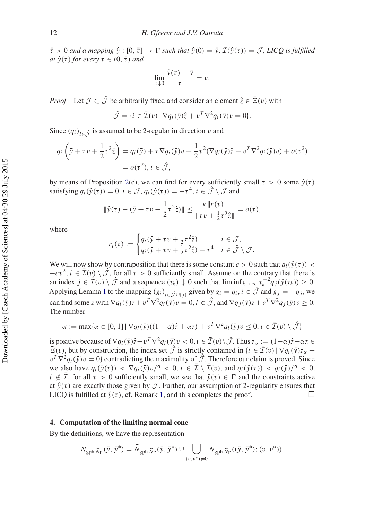$\bar{\tau} > 0$  *and a mapping*  $\hat{y} : [0, \bar{\tau}] \to \Gamma$  *such that*  $\hat{y}(0) = \bar{y}$ ,  $\mathcal{I}(\hat{y}(\tau)) = \mathcal{J}$ , LICQ is fulfilled *at*  $\hat{y}(\tau)$  *for every*  $\tau \in (0, \bar{\tau})$  *and* 

$$
\lim_{\tau \downarrow 0} \frac{\hat{y}(\tau) - \bar{y}}{\tau} = v.
$$

*Proof* Let  $\mathcal{J} \subset \hat{\mathcal{J}}$  be arbitrarily fixed and consider an element  $\hat{z} \in \bar{\Xi}(v)$  with

$$
\hat{\mathcal{J}} = \{ i \in \bar{\mathcal{I}}(v) \mid \nabla q_i(\bar{y})\hat{z} + v^T \nabla^2 q_i(\bar{y})v = 0 \}.
$$

Since  $(q_i)_{i \in \hat{J}}$  is assumed to be 2-regular in direction v and

$$
q_i\left(\bar{y} + \tau v + \frac{1}{2}\tau^2 \hat{z}\right) = q_i(\bar{y}) + \tau \nabla q_i(\bar{y})v + \frac{1}{2}\tau^2(\nabla q_i(\bar{y})\hat{z} + v^T \nabla^2 q_i(\bar{y})v) + o(\tau^2)
$$
  
=  $o(\tau^2), i \in \hat{\mathcal{J}},$ 

by means of Proposition [2\(](#page-9-2)c), we can find for every sufficiently small  $\tau > 0$  some  $\hat{y}(\tau)$ satisfying  $q_i(\hat{y}(\tau)) = 0, i \in \mathcal{J}, q_i(\hat{y}(\tau)) = -\tau^4, i \in \hat{\mathcal{J}} \setminus \mathcal{J}$  and

$$
\|\hat{y}(\tau) - (\bar{y} + \tau v + \frac{1}{2}\tau^2 \hat{z})\| \le \frac{\kappa \|r(\tau)\|}{\|\tau v + \frac{1}{2}\tau^2 \hat{z}\|} = o(\tau),
$$

where

$$
r_i(\tau) := \begin{cases} q_i(\bar{y} + \tau v + \frac{1}{2}\tau^2 \hat{z}) & i \in \mathcal{J}, \\ q_i(\bar{y} + \tau v + \frac{1}{2}\tau^2 \hat{z}) + \tau^4 & i \in \hat{\mathcal{J}} \setminus \mathcal{J}. \end{cases}
$$

We will now show by contraposition that there is some constant  $c > 0$  such that  $q_i(\hat{y}(\tau)) <$  $-c\tau^2$ ,  $i \in \bar{\mathcal{I}}(v) \setminus \hat{\mathcal{J}}$ , for all  $\tau > 0$  sufficiently small. Assume on the contrary that there is an index  $j \in \mathcal{I}(v) \setminus \mathcal{J}$  and a sequence  $(\tau_k) \downarrow 0$  such that  $\liminf_{k \to \infty} \tau_k^{-2} q_j(\hat{y}(\tau_k)) \geq 0$ . Applying Lemma [1](#page-10-0) to the mapping  $(g_i)_{i \in \hat{\mathcal{J}} \cup \{j\}}$  given by  $g_i = q_i, i \in \hat{\mathcal{J}}$  and  $g_j = -q_j$ , we can find some *z* with  $\nabla q_i(\bar{y})z+v^T\nabla^2 q_i(\bar{y})v=0, i \in \hat{\mathcal{J}}$ , and  $\nabla q_i(\bar{y})z+v^T\nabla^2 q_i(\bar{y})v\geq 0$ . The number

$$
\alpha := \max{\{\alpha \in [0, 1] \mid \nabla q_i(\bar{y})((1 - \alpha)\hat{z} + \alpha z) + v^T \nabla^2 q_i(\bar{y})v \le 0, i \in \bar{\mathcal{I}}(v) \setminus \hat{\mathcal{J}}\}}
$$

is positive because of  $\nabla q_i(\bar{y})\hat{z}+v^T\nabla^2 q_i(\bar{y})v < 0, i \in \bar{\mathcal{I}}(v)\setminus\hat{\mathcal{J}}$ . Thus  $z_\alpha := (1-\alpha)\hat{z}+\alpha z \in$  $\overline{E}(v)$ , but by construction, the index set  $\hat{J}$  is strictly contained in  $\{i \in \overline{I}(v) \mid \nabla q_i(\overline{y})z_\alpha + \overline{z}(z)\}$  $v^T \nabla^2 q_i(\bar{y})v = 0$ } contradicting the maximality of  $\hat{\mathcal{J}}$ . Therefore our claim is proved. Since we also have  $q_i(\hat{y}(\tau)) < \nabla q_i(\bar{y})v/2 < 0, i \in \mathcal{I} \setminus \mathcal{I}(v)$ , and  $q_i(\hat{y}(\tau)) < q_i(\bar{y})/2 < 0$ ,  $i \notin \overline{\mathcal{I}}$ , for all  $\tau > 0$  sufficiently small, we see that  $\hat{y}(\tau) \in \Gamma$  and the constraints active at  $\hat{y}(\tau)$  are exactly those given by *J*. Further, our assumption of 2-regularity ensures that LICO is fulfilled at  $\hat{y}(\tau)$ , cf. Remark 1, and this completes the proof. LICQ is fulfilled at  $\hat{y}(\tau)$ , cf. Remark [1,](#page-10-1) and this completes the proof.

#### <span id="page-13-0"></span>**4. Computation of the limiting normal cone**

By the definitions, we have the representation

$$
N_{\text{gph }\widehat{N}_{\Gamma}}(\bar{y},\bar{y}^*)=\widehat{N}_{\text{gph }\widehat{N}_{\Gamma}}(\bar{y},\bar{y}^*)\cup\bigcup_{(v,v^*)\neq 0}N_{\text{gph }\widehat{N}_{\Gamma}}((\bar{y},\bar{y}^*);(v,v^*)).
$$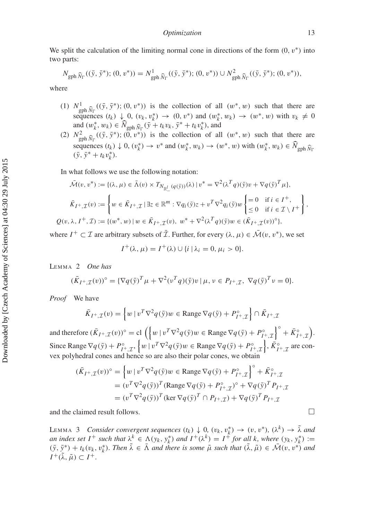We split the calculation of the limiting normal cone in directions of the form  $(0, v^*)$  into two parts:

$$
N_{\text{gph }\widehat{N}_{\Gamma}}((\bar{y},\bar{y}^*);(0,v^*))=N_{\text{gph }\widehat{N}_{\Gamma}}^1((\bar{y},\bar{y}^*);(0,v^*))\cup N_{\text{gph }\widehat{N}_{\Gamma}}^2((\bar{y},\bar{y}^*);(0,v^*)),
$$

where

- (1)  $N^1_{\text{gph }\hat{N}_\Gamma}((\bar{y}, \bar{y}^*); (0, v^*))$  is the collection of all  $(w^*, w)$  such that there are sequences  $(t_k) \downarrow 0$ ,  $(v_k, v_k^*) \rightarrow (0, v^*)$  and  $(w_k^*, w_k) \rightarrow (w^*, w)$  with  $v_k \neq 0$ and  $(w_k^*, w_k) \in \widehat{N}_{\text{gph }\widehat{N}_{\Gamma}}(\bar{y} + t_k v_k, \bar{y}^* + t_k v_k^*),$  and
- (2)  $N_{\text{gph}}^2 \hat{N}_{\Gamma}((\bar{y}, \bar{y}^*); (\bar{0}, v^*))$  is the collection of all  $(w^*, w)$  such that there are sequences  $(t_k) \downarrow 0$ ,  $(v_k^*) \rightarrow v^*$  and  $(w_k^*, w_k) \rightarrow (w^*, w)$  with  $(w_k^*, w_k) \in \widehat{N}_{\text{gph }\widehat{N}_{\Gamma}}$  $(\bar{y}, \bar{y}^* + t_k v_k^*).$

In what follows we use the following notation:

$$
\bar{\mathcal{M}}(v, v^*) := \{ (\lambda, \mu) \in \bar{\Lambda}(v) \times T_{N_{\mathbb{R}^l_-}}(q(\bar{y}))(\lambda) \mid v^* = \nabla^2 (\lambda^T q)(\bar{y})v + \nabla q(\bar{y})^T \mu \},
$$
\n
$$
\bar{K}_{I^+, \mathcal{I}}(v) := \left\{ w \in \bar{K}_{I^+, \mathcal{I}} \mid \exists z \in \mathbb{R}^m : \nabla q_i(\bar{y})z + v^T \nabla^2 q_i(\bar{y})w \right\} = 0 \quad \text{if } i \in I^+,
$$
\n
$$
Q(v, \lambda, I^+, \mathcal{I}) := \left\{ (w^*, w) \mid w \in \bar{K}_{I^+, \mathcal{I}}(v), w^* + \nabla^2 (\lambda^T q)(\bar{y})w \in (\bar{K}_{I^+, \mathcal{I}}(v))^{\circ} \right\},
$$

where  $I^+ \subset \mathcal{I}$  are arbitrary subsets of  $\bar{\mathcal{I}}$ . Further, for every  $(\lambda, \mu) \in \bar{\mathcal{M}}(v, v^*)$ , we set

$$
I^+(\lambda, \mu) = I^+(\lambda) \cup \{i \mid \lambda_i = 0, \mu_i > 0\}.
$$

<span id="page-14-1"></span>Lemma 2 *One has*

$$
(\bar{K}_{I^+, \mathcal{I}}(v))^{\circ} = {\{\nabla q(\bar{y})^T \mu + \nabla^2(v^T q)(\bar{y})v \mid \mu, v \in P_{I^+, \mathcal{I}}, \nabla q(\bar{y})^T v = 0\}}.
$$

*Proof* We have

$$
\bar{K}_{I^+,\mathcal{I}}(v) = \left\{ w \mid v^T \nabla^2 q(\bar{y}) w \in \text{Range } \nabla q(\bar{y}) + P_{I^+,\mathcal{I}}^{\circ} \right\} \cap \bar{K}_{I^+,\mathcal{I}}
$$

and therefore  $(\bar{K}_{I^+, \mathcal{I}}(v))^{\circ} = \text{cl}\left(\left\{w \mid v^T \nabla^2 q(\bar{y})w \in \text{Range }\nabla q(\bar{y}) + P_{I^+, \mathcal{I}}^{\circ}\right\}\right)$  $\int$ ° +  $\bar{K}^{\circ}_{I^+, \mathcal{I}}$ ). Since Range  $\nabla q(\bar{y}) + P_{I^+,\mathcal{I}}^{\circ}$ ,  $\{w \mid v^T \nabla^2 q(\bar{y})w \in \text{Range } \nabla q(\bar{y}) + P_{I^+,\mathcal{I}}^{\circ}\}, \bar{K}_{I^+,\mathcal{I}}^{\circ}$  are convex polyhedral cones and hence so are also their polar cones, we obtain

$$
(\bar{K}_{I^+,\mathcal{I}}(v))^{\circ} = \left\{ w \mid v^T \nabla^2 q(\bar{y}) w \in \text{Range } \nabla q(\bar{y}) + P_{I^+,\mathcal{I}}^{\circ} \right\}^{\circ} + \bar{K}_{I^+,\mathcal{I}}^{\circ}
$$
  
= 
$$
(v^T \nabla^2 q(\bar{y}))^T (\text{Range } \nabla q(\bar{y}) + P_{I^+,\mathcal{I}}^{\circ})^{\circ} + \nabla q(\bar{y})^T P_{I^+,\mathcal{I}}
$$
  
= 
$$
(v^T \nabla^2 q(\bar{y}))^T (\text{ker } \nabla q(\bar{y})^T \cap P_{I^+,\mathcal{I}}) + \nabla q(\bar{y})^T P_{I^+,\mathcal{I}}
$$

and the claimed result follows.

<span id="page-14-0"></span>LEMMA 3 *Consider convergent sequences*  $(t_k) \downarrow 0$ ,  $(v_k, v_k^*) \rightarrow (v, v^*)$ ,  $(\lambda^k) \rightarrow \tilde{\lambda}$  and *an index set I*<sup>+</sup> *such that*  $\lambda^k \in \Lambda(y_k, y_k^*)$  *and*  $I^+(\lambda^k) = I^+$  *for all k, where*  $(y_k, y_k^*) :=$  $(\bar{y}, \bar{y}^*) + t_k(v_k, v_k^*)$ . Then  $\tilde{\lambda} \in \bar{\Lambda}$  and there is some  $\tilde{\mu}$  such that  $(\tilde{\lambda}, \tilde{\mu}) \in \tilde{\mathcal{M}}(v, v^*)$  and  $I^+(\tilde{\lambda}, \tilde{\mu}) \subset I^+$ .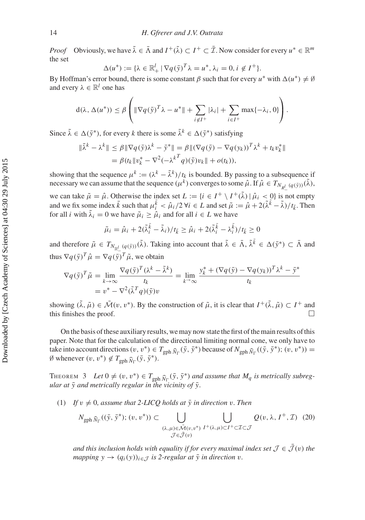*Proof* Obviously, we have  $\tilde{\lambda} \in \bar{\Lambda}$  and  $I^+(\tilde{\lambda}) \subset I^+ \subset \bar{\mathcal{I}}$ . Now consider for every  $u^* \in \mathbb{R}^m$ the set

$$
\Delta(u^*) := \{ \lambda \in \mathbb{R}_+^l \mid \nabla q(\bar{y})^T \lambda = u^*, \lambda_i = 0, i \notin I^+ \}.
$$

By Hoffman's error bound, there is some constant β such that for every  $u^*$  with  $\Delta(u^*) \neq \emptyset$ and every  $\lambda \in \mathbb{R}^l$  one has

$$
d(\lambda, \Delta(u^*)) \leq \beta \left( \|\nabla q(\bar{y})^T \lambda - u^*\| + \sum_{i \notin I^+} |\lambda_i| + \sum_{i \in I^+} \max\{-\lambda_i, 0\} \right).
$$

Since  $\tilde{\lambda} \in \Delta(\bar{y}^*)$ , for every *k* there is some  $\tilde{\lambda}^k \in \Delta(\bar{y}^*)$  satisfying

$$
\|\tilde{\lambda}^{k} - \lambda^{k}\| \leq \beta \|\nabla q(\bar{y})\lambda^{k} - \bar{y}^{*}\| = \beta \|(\nabla q(\bar{y}) - \nabla q(y_{k}))^{T}\lambda^{k} + t_{k}v_{k}^{*}\|
$$
  
=  $\beta (t_{k} \|v_{k}^{*} - \nabla^{2}(-\lambda^{k} q)(\bar{y})v_{k}\| + o(t_{k})),$ 

showing that the sequence  $\mu^k := (\lambda^k - \tilde{\lambda}^k)/t_k$  is bounded. By passing to a subsequence if necessary we can assume that the sequence  $(\mu^k)$  converges to some  $\hat{\mu}$ . If  $\hat{\mu} \in T_{N_{R_-^l}}(q(\bar{y}))}(\tilde{\lambda})$ ,

we can take  $\tilde{\mu} = \hat{\mu}$ . Otherwise the index set  $L := \{i \in I^+ \setminus I^+(\tilde{\lambda}) \mid \hat{\mu}_i < 0\}$  is not empty and we fix some index  $\bar{k}$  such that  $\mu_i^{\bar{k}} < \hat{\mu}_i/2$   $\forall i \in L$  and set  $\tilde{\mu} := \hat{\mu} + 2(\tilde{\lambda}^{\bar{k}} - \tilde{\lambda})/t_{\bar{k}}$ . Then for all *i* with  $\tilde{\lambda}_i = 0$  we have  $\tilde{\mu}_i \geq \hat{\mu}_i$  and for all  $i \in L$  we have

$$
\tilde{\mu}_i = \hat{\mu}_i + 2(\tilde{\lambda}_i^{\bar{k}} - \tilde{\lambda}_i)/t_{\bar{k}} \ge \hat{\mu}_i + 2(\tilde{\lambda}_i^{\bar{k}} - \lambda_i^{\bar{k}})/t_{\bar{k}} \ge 0
$$

and therefore  $\tilde{\mu} \in T_{N_{\mathbb{R}^l}}(q(\tilde{y}))(\tilde{\lambda})$ . Taking into account that  $\tilde{\lambda} \in \bar{\Lambda}, \tilde{\lambda}^{\bar{k}} \in \Delta(\tilde{y}^*) \subset \bar{\Lambda}$  and thus  $\nabla q(\bar{y})^T \hat{\mu} = \nabla q(\bar{y})^T \tilde{\mu}$ , we obtain

$$
\nabla q(\bar{y})^T \tilde{\mu} = \lim_{k \to \infty} \frac{\nabla q(\bar{y})^T (\lambda^k - \tilde{\lambda}^k)}{t_k} = \lim_{k \to \infty} \frac{y_k^* + (\nabla q(\bar{y}) - \nabla q(y_k))^T \lambda^k - \bar{y}^*}{t_k}
$$

$$
= v^* - \nabla^2 (\tilde{\lambda}^T q)(\bar{y}) v
$$

showing  $(\tilde{\lambda}, \tilde{\mu}) \in \tilde{\mathcal{M}}(v, v^*)$ . By the construction of  $\tilde{\mu}$ , it is clear that  $I^+(\tilde{\lambda}, \tilde{\mu}) \subset I^+$  and this finishes the proof.

On the basis of these auxiliary results, we may now state the first of the main results of this paper. Note that for the calculation of the directional limiting normal cone, we only have to take into account directions  $(v, v^*) \in T_{\text{gph}} \hat{N}_{\Gamma}(\bar{y}, \bar{y}^*)$  because of  $N_{\text{gph}} \hat{N}_{\Gamma}((\bar{y}, \bar{y}^*)$ ;  $(v, v^*)) =$ Ø whenever  $(v, v^*) \notin T_{\text{gph}} \hat{N}_{\Gamma}(\bar{y}, \bar{y}^*)$ .

<span id="page-15-1"></span>THEOREM 3 Let  $0 \neq (v, v^*) \in T_{\text{gph}} \hat{N}_{\Gamma}(\bar{y}, \bar{y}^*)$  and assume that  $M_q$  is metrically subreg- $\frac{1}{2}$  and metrically regular in the vicinity of  $\bar{y}$ .

(1) If  $v \neq 0$ , assume that 2-LICQ holds at  $\bar{y}$  in direction v. Then

<span id="page-15-0"></span>
$$
N_{\text{gph }\widehat{N}_{\Gamma}}((\bar{y},\bar{y}^*);(v,v^*)) \subset \bigcup_{\substack{(\lambda,\mu)\in\bar{\mathcal{M}}(v,v^*)\\ \mathcal{J}\in\bar{\mathcal{J}}(v)}} \bigcup_{I^+(\lambda,\mu)\subset I^+\subset\mathcal{I}\subset\mathcal{J}} Q(v,\lambda,I^+,\mathcal{I}) \quad (20)
$$

*and this inclusion holds with equality if for every maximal index set*  $\mathcal{J} \in \bar{\mathcal{J}}(v)$  *the mapping*  $y \rightarrow (q_i(y))_{i \in \mathcal{J}}$  *is 2-regular at*  $\bar{y}$  *in direction*  $v$ *.*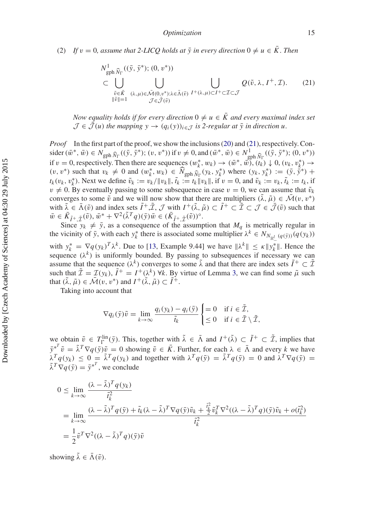(2) If  $v = 0$ , assume that 2-LICQ holds at  $\bar{y}$  in every direction  $0 \neq u \in \bar{K}$ . Then

<span id="page-16-0"></span>
$$
N_{\text{gph }\widehat{N}_{\Gamma}}^{1}((\bar{y}, \bar{y}^{*}); (0, v^{*}))
$$
  
\n
$$
\subset \bigcup_{\substack{\tilde{v} \in \tilde{K} \\ \|\tilde{v}\| = 1}} \bigcup_{(\lambda, \mu) \in \tilde{\mathcal{M}}(0, v^{*}); \lambda \in \tilde{\Lambda}(\tilde{v})} \bigcup_{I^{+}(\lambda, \mu) \subset I^{+} \subset \mathcal{I} \subset \mathcal{J}} Q(\tilde{v}, \lambda, I^{+}, \mathcal{I}).
$$
\n(21)

*Now equality holds if for every direction*  $0 \neq u \in \overline{K}$  and every maximal index set  $\mathcal{J} \in \bar{\mathcal{J}}(u)$  *the mapping*  $y \to (q_i(y))_{i \in \mathcal{J}}$  *is 2-regular at*  $\bar{y}$  *in direction*  $u$ *.* 

*Proof* In the first part of the proof, we show the inclusions [\(20\)](#page-15-0) and [\(21\)](#page-16-0), respectively. Con- $\text{sider}(\bar{w}^*, \bar{w}) \in N_{\text{gph}} \hat{N}_{\Gamma}((\bar{y}, \bar{y}^*); (v, v^*)) \text{ if } v \neq 0, \text{and } (\bar{w}^*, \bar{w}) \in N_{\text{gph}}^1 \hat{N}_{\Gamma}((\bar{y}, \bar{y}^*); (0, v^*))$ <br>
if y = 0, reconsider the second continuous  $(w^*, w_1) \ge (\bar{w}^*, \bar{w}^*)^2 ((\bar{y}, \bar{y}^*)^2)$ if  $v = 0$ , respectively. Then there are sequences  $(w_k^*, w_k) \to (\bar{w}^*, \bar{w})$ ,  $(t_k) \downarrow 0$ ,  $(v_k, v_k^*) \to$  $(v, v^*)$  such that  $v_k \neq 0$  and  $(w_k^*, w_k) \in \widehat{N}_{\text{gph } \widehat{N}_{\Gamma}}(y_k, y_k^*)$  where  $(y_k, y_k^*) := (\bar{y}, \bar{y}^*) + (\bar{y}, \bar{y}^*)$  $t_k(v_k, v_k^*)$ . Next we define  $\tilde{v}_k := v_k / \|v_k\|$ ,  $\tilde{t}_k := t_k \|v_k\|$ , if  $v = 0$ , and  $\tilde{v}_k := v_k$ ,  $\tilde{t}_k := t_k$ , if  $v \neq 0$ . By eventually passing to some subsequence in case  $v = 0$ , we can assume that  $\tilde{v}_k$ converges to some  $\tilde{v}$  and we will now show that there are multipliers  $(\tilde{\lambda}, \tilde{\mu}) \in \mathcal{\bar{M}}(v, v^*)$ with  $\tilde{\lambda} \in \bar{\Lambda}(\tilde{v})$  and index sets  $\tilde{I}^+$ ,  $\tilde{\mathcal{I}}, \mathcal{J}$  with  $I^+(\tilde{\lambda}, \tilde{\mu}) \subset \tilde{I}^+ \subset \tilde{\mathcal{I}} \subset \mathcal{J} \in \bar{\mathcal{J}}(\tilde{v})$  such that  $\bar{w} \in \bar{K}_{\tilde{I}^+,\tilde{I}}(\tilde{v}), \bar{w}^* + \nabla^2 (\tilde{\lambda}^T q)(\bar{y}) \bar{w} \in (\bar{K}_{\tilde{I}^+,\tilde{I}}(\tilde{v}))^{\circ}.$ <br>Since  $y_k \neq \bar{y}$ , as a consequence of the assumption that  $M_q$  is metrically regular in

the vicinity of  $\bar{y}$ , with each  $y_k^*$  there is associated some multiplier  $\lambda^k \in N_{N_{\mathbb{R}^l}}(q(\bar{y}))}(q(y_k))$ with  $y_k^* = \nabla q(y_k)^T \lambda^k$ . Due to [\[13](#page-30-12), Example 9.44] we have  $\|\lambda^k\| \le \kappa \|\hat{y}_k^*\|$ . Hence the sequence  $(\lambda^k)$  is uniformly bounded. By passing to subsequences if necessary we can assume that the sequence  $(\lambda^k)$  converges to some  $\tilde{\lambda}$  and that there are index sets  $\tilde{I}^+ \subset \tilde{\mathcal{I}}$ such that  $\tilde{\mathcal{I}} = \mathcal{I}(y_k)$ ,  $\tilde{I}^+ = I^+(\lambda^k)$   $\forall k$ . By virtue of Lemma [3,](#page-14-0) we can find some  $\tilde{\mu}$  such that  $(\tilde{\lambda}, \tilde{\mu}) \in \bar{\mathcal{M}}(v, v^*)$  and  $I^+(\tilde{\lambda}, \tilde{\mu}) \subset \tilde{I}^+$ .

Taking into account that

$$
\nabla q_i(\bar{\mathbf{y}})\tilde{v} = \lim_{k \to \infty} \frac{q_i(y_k) - q_i(\bar{\mathbf{y}})}{\tilde{t}_k} \begin{cases} = 0 & \text{if } i \in \tilde{\mathcal{I}}, \\ \leq 0 & \text{if } i \in \tilde{\mathcal{I}} \setminus \tilde{\mathcal{I}}, \end{cases}
$$

we obtain  $\tilde{v} \in T_{\Gamma}^{\text{lin}}(\bar{y})$ . This, together with  $\tilde{\lambda} \in \bar{\Lambda}$  and  $I^+(\tilde{\lambda}) \subset I^+ \subset \tilde{\mathcal{I}}$ , implies that  $\bar{y}^{*T}\tilde{v} = \tilde{\lambda}^T \nabla q(\bar{y})\tilde{v} = 0$  showing  $\tilde{v} \in \bar{K}$ . Further, for each  $\lambda \in \bar{\Lambda}$  and every *k* we have  $\lambda^T q(y_k) \leq 0 = \tilde{\lambda}^T q(y_k)$  and together with  $\lambda^T q(\bar{y}) = \tilde{\lambda}^T q(\bar{y}) = 0$  and  $\lambda^T \nabla q(\bar{y}) = 0$  $\bar{\lambda}^T \nabla q(\bar{y}) = \bar{y}^{*^T}$ , we conclude

$$
0 \leq \lim_{k \to \infty} \frac{(\lambda - \tilde{\lambda})^T q(y_k)}{\tilde{t}_k^2}
$$
  
= 
$$
\lim_{k \to \infty} \frac{(\lambda - \tilde{\lambda})^T q(\bar{y}) + \tilde{t}_k (\lambda - \tilde{\lambda})^T \nabla q(\bar{y}) \tilde{v}_k + \frac{\tilde{t}_k^2}{2} \tilde{v}_k^T \nabla^2 ((\lambda - \tilde{\lambda})^T q)(\bar{y}) \tilde{v}_k + o(\tilde{t}_k^2)}{\tilde{t}_k^2}
$$
  
= 
$$
\frac{1}{2} \tilde{v}^T \nabla^2 ((\lambda - \tilde{\lambda})^T q)(\bar{y}) \tilde{v}
$$

showing  $\tilde{\lambda} \in \bar{\Lambda}(\tilde{\nu})$ .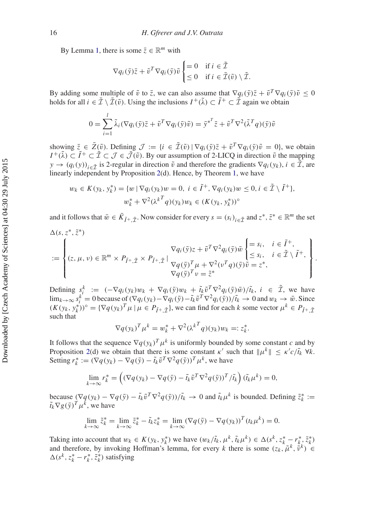By Lemma [1,](#page-10-0) there is some  $\bar{z} \in \mathbb{R}^m$  with

$$
\nabla q_i(\bar{\mathbf{y}})\bar{z} + \tilde{v}^T \nabla q_i(\bar{\mathbf{y}})\tilde{v} \begin{cases} = 0 & \text{if } i \in \tilde{\mathcal{I}} \\ \leq 0 & \text{if } i \in \bar{\mathcal{I}}(\tilde{v}) \setminus \tilde{\mathcal{I}}. \end{cases}
$$

By adding some multiple of  $\tilde{v}$  to  $\bar{z}$ , we can also assume that  $\nabla q_i(\bar{v})\bar{z} + \tilde{v}^T\nabla q_i(\bar{v})\tilde{v} < 0$ holds for all  $i \in \bar{\mathcal{I}} \setminus \bar{\mathcal{I}}(\tilde{v})$ . Using the inclusions  $I^+(\tilde{\lambda}) \subset \tilde{I}^+ \subset \tilde{\mathcal{I}}$  again we obtain

$$
0 = \sum_{i=1}^{l} \tilde{\lambda}_i (\nabla q_i(\bar{y}) \bar{z} + \tilde{v}^T \nabla q_i(\bar{y}) \tilde{v}) = \bar{y}^{*^T} \bar{z} + \tilde{v}^T \nabla^2 (\tilde{\lambda}^T q)(\bar{y}) \tilde{v}
$$

showing  $\bar{z} \in \bar{Z}(\tilde{v})$ . Defining  $\mathcal{J} := \{i \in \bar{Z}(\tilde{v}) \mid \nabla q_i(\bar{y})\bar{z} + \tilde{v}^T \nabla q_i(\bar{y})\tilde{v} = 0\}$ , we obtain  $I^+(\tilde{\lambda}) \subset \tilde{I}^+ \subset \tilde{\mathcal{I}} \subset \mathcal{J} \in \tilde{\mathcal{J}}(\tilde{\nu})$ . By our assumption of 2-LICQ in direction  $\tilde{\nu}$  the mapping  $y \rightarrow (q_i(y))_{i \in \tilde{\mathcal{I}}}$  is 2-regular in direction  $\tilde{v}$  and therefore the gradients  $\nabla q_i(y_k)$ ,  $i \in \tilde{\mathcal{I}}$ , are linearly independent by Proposition [2\(](#page-9-2)d). Hence, by Theorem [1,](#page-5-1) we have

$$
w_k \in K(y_k, y_k^*) = \{ w \mid \nabla q_i(y_k)w = 0, \ i \in \tilde{I}^+, \nabla q_i(y_k)w \le 0, i \in \tilde{I} \setminus \tilde{I}^+ \},
$$
  

$$
w_k^* + \nabla^2(\lambda^{k} q)(y_k)w_k \in (K(y_k, y_k^*))^{\circ}
$$

and it follows that  $\bar{w} \in \bar{K}_{\tilde{I}^+,\tilde{I}}$ . Now consider for every  $s = (s_i)_{i \in \tilde{I}}$  and  $z^*, \tilde{z}^* \in \mathbb{R}^m$  the set

$$
\Delta(s, z^*, \tilde{z}^*)
$$
\n
$$
:= \begin{cases}\n\sum_{(z, \mu, v) \in \mathbb{R}^m \times P_{\tilde{I}^+, \tilde{I}} \times P_{\tilde{I}^+, \tilde{I}} \mid \nabla q_i(\tilde{y})z + \tilde{v}^T \nabla^2 q_i(\tilde{y}) \tilde{w} \begin{cases}\n=s_i, & i \in \tilde{I}^+, \\
\leq s_i, & i \in \tilde{I} \setminus \tilde{I}^+, \\
\leq s_i, & i \in \tilde{I} \setminus \tilde{I}^+, \\
\nabla q(\tilde{y})^T \mu + \nabla^2 (v^T q)(\tilde{y}) \tilde{v} = z^*, \\
\nabla q(\tilde{y})^T v = \tilde{z}^*\n\end{cases}.
$$

Defining  $s_i^k := (-\nabla q_i(y_k)w_k + \nabla q_i(\bar{y})w_k + \tilde{t}_k \tilde{v}^T \nabla^2 q_i(\bar{y})\bar{w})/\tilde{t}_k$ ,  $i \in \tilde{\mathcal{I}}$ , we have  $\lim_{k\to\infty} s_i^k = 0$  because of  $(\nabla q_i(y_k) - \nabla q_i(\bar{y}) - \tilde{t}_k \tilde{v}^T \nabla^2 q_i(\bar{y})) / \tilde{t}_k \to 0$  and  $w_k \to \bar{w}$ . Since  $(K(y_k, y_k^*))^\circ = {\nabla q(y_k)}^T \mu \mid \mu \in P_{\tilde{I}^+,\tilde{I}}$ , we can find for each *k* some vector  $\mu^k \in P_{\tilde{I}^+,\tilde{I}}$ such that

$$
\nabla q(\mathbf{y}_k)^T \mu^k = w_k^* + \nabla^2 (\lambda^{k} q)(\mathbf{y}_k) w_k =: z_k^*.
$$

It follows that the sequence  $\nabla q(y_k)^T \mu^k$  is uniformly bounded by some constant *c* and by Proposition [2\(](#page-9-2)d) we obtain that there is some constant  $\kappa'$  such that  $\|\mu^k\| \leq \kappa' c / \tilde{t}_k \ \forall k$ . Setting  $r_k^* := (\nabla q(y_k) - \nabla q(\bar{y}) - \tilde{t}_k \tilde{v}^T \nabla^2 q(\bar{y}))^T \mu^k$ , we have

$$
\lim_{k \to \infty} r_k^* = \left( (\nabla q(y_k) - \nabla q(\bar{y}) - \tilde{t}_k \tilde{v}^T \nabla^2 q(\bar{y}))^T / \tilde{t}_k \right) (\tilde{t}_k \mu^k) = 0,
$$

because  $(\nabla q(y_k) - \nabla q(\bar{y}) - \tilde{t}_k \tilde{v}^T \nabla^2 q(\bar{y}) / \tilde{t}_k \to 0$  and  $\tilde{t}_k \mu^k$  is bounded. Defining  $\tilde{z}_k^* :=$  $\tilde{t}_k \nabla g(\bar{y})^T \mu^k$ , we have

$$
\lim_{k \to \infty} \tilde{z}_k^* = \lim_{k \to \infty} \tilde{z}_k^* - \tilde{t}_k z_k^* = \lim_{k \to \infty} (\nabla q(\bar{y}) - \nabla q(y_k))^T (t_k \mu^k) = 0.
$$

Taking into account that  $w_k \in K(y_k, y_k^*)$  we have  $(w_k/\tilde{t}_k, \mu^k, \tilde{t}_k \mu^k) \in \Delta(s^k, z_k^* - r_{k, \iota}^*, \tilde{z}_k^*)$ and therefore, by invoking Hoffman's lemma, for every *k* there is some  $(z_k, \tilde{\mu}^k, \tilde{\nu}^k) \in$  $\Delta(s^k, z^*_k - r^*_k, \tilde{z}^*_k)$  satisfying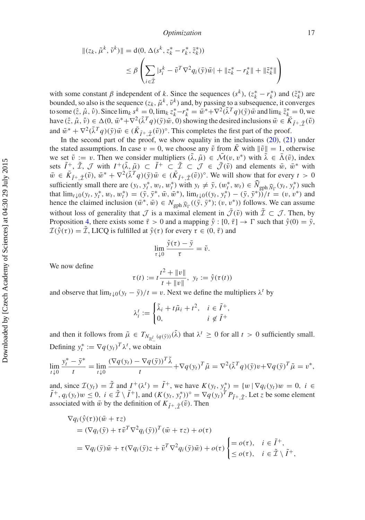$$
\begin{aligned} ||(z_k, \tilde{\mu}^k, \tilde{\nu}^k) || &= \mathbf{d}(0, \Delta(s^k, z_k^* - r_k^*, \tilde{z}_k^*)) \\ &\le \beta \left( \sum_{i \in \tilde{\mathcal{I}}} |s_i^k - \tilde{\nu}^T \nabla^2 q_i(\bar{\mathbf{y}}) \bar{w} | + \|z_k^* - r_k^* \| + \|\tilde{z}_k^*\| \right) \end{aligned}
$$

with some constant  $\beta$  independent of  $k$ . Since the sequences  $(s^k)$ ,  $(z_k^* - r_k^*)$  and  $(\tilde{z}_k^*)$  are bounded, so also is the sequence  $(z_k, \tilde{\mu}^k, \tilde{v}^k)$  and, by passing to a subsequence, it converges to some  $(\hat{z}, \hat{\mu}, \hat{\nu})$ . Since  $\lim_{k} s^k = 0$ ,  $\lim_{k} z^*_{k} - r^*_{k} = \overline{\hat{w}}^* + \nabla^2 (\overline{\lambda}^T q)(\overline{y}) \overline{\hat{w}}$  and  $\lim_{k} \tilde{z}^*_{k} = 0$ , we have  $(\hat{z}, \hat{\mu}, \hat{\nu}) \in \Delta(0, \bar{w}^* + \nabla^2(\tilde{\lambda}^T q)(\bar{y})\bar{w}, 0)$  showing the desired inclusions  $\bar{w} \in \overline{K}_{\tilde{I}^+ \tilde{\mathcal{T}}}(\tilde{v})$ and  $\bar{w}^* + \nabla^2(\tilde{\lambda}^T q)(\bar{y})\bar{w} \in (\bar{K}_{\tilde{I}^+ \tilde{\mathcal{T}}}(\tilde{v}))^{\circ}$ . This completes the first part of the proof.

In the second part of the proof, we show equality in the inclusions [\(20\)](#page-15-0), [\(21\)](#page-16-0) under the stated assumptions. In case  $v = 0$ , we choose any  $\tilde{v}$  from  $\overline{K}$  with  $\|\tilde{v}\| = 1$ , otherwise we set  $\tilde{v} := v$ . Then we consider multipliers  $(\lambda, \tilde{\mu}) \in \mathcal{M}(v, v^*)$  with  $\lambda \in \Lambda(\tilde{v})$ , index sets  $\tilde{I}^+$ ,  $\tilde{\mathcal{I}}, \mathcal{J}$  with  $I^+(\tilde{\lambda}, \tilde{\mu}) \subset \tilde{I}^+ \subset \tilde{\mathcal{I}} \subset \mathcal{J} \in \tilde{\mathcal{J}}(\tilde{\nu})$  and elements  $\bar{w}, \bar{w}^*$  with  $\bar{w} \in \bar{K}_{\tilde{I}^+,\tilde{\mathcal{I}}}(\tilde{v}), \bar{w}^* + \nabla^2(\tilde{\lambda}^T q)(\bar{y})\bar{w} \in (\bar{K}_{\tilde{I}^+,\tilde{\mathcal{I}}}(\tilde{v}))^{\circ}$ . We will show that for every  $t > 0$ sufficiently small there are  $(y_t, y_t^*, w_t, w_t^*)$  with  $y_t \neq \overline{y}$ ,  $(w_t^*, w_t) \in \widehat{N}_{\text{gph } \widehat{N}_\Gamma}(y_t, y_t^*)$  such that  $\lim_{t \to \infty} (y_t^*, y_t^*)$ that  $\lim_{t \downarrow 0} (y_t, y_t^*, w_t, w_t^*) = (\bar{y}, \bar{y}^*, \bar{w}, \bar{w}^*)$ ,  $\lim_{t \downarrow 0} ((y_t, y_t^*) - (\bar{y}, \bar{y}^*))/t = (v, v^*)$  and hence the claimed inclusion  $(\bar{w}^*, \bar{w}) \in N_{\text{gph}} \hat{N}_{\Gamma}((\bar{y}, \bar{y}^*); (v, v^*))$  follows. We can assume without loss of generality that *J* is a maximal element in  $\bar{J}(\tilde{v})$  with  $\tilde{\mathcal{I}} \subset \mathcal{J}$ . Then, by Proposition [4,](#page-12-1) there exists some  $\bar{\tau} > 0$  and a mapping  $\hat{y} : [0, \bar{\tau}] \to \Gamma$  such that  $\hat{y}(0) = \bar{y}$ ,  $\mathcal{I}(\hat{y}(\tau)) = \tilde{\mathcal{I}}$ , LICQ is fulfilled at  $\hat{y}(\tau)$  for every  $\tau \in (0, \bar{\tau})$  and

$$
\lim_{\tau \downarrow 0} \frac{\hat{y}(\tau) - \bar{y}}{\tau} = \tilde{v}.
$$

We now define

$$
\tau(t) := t \frac{t^2 + ||v||}{t + ||v||}, \ y_t := \hat{y}(\tau(t))
$$

and observe that  $\lim_{t \downarrow 0} (y_t - \bar{y})/t = v$ . Next we define the multipliers  $\lambda^t$  by

$$
\lambda_i^t := \begin{cases} \tilde{\lambda}_i + t\tilde{\mu}_i + t^2, & i \in \tilde{I}^+, \\ 0, & i \notin \tilde{I}^+ \end{cases}
$$

and then it follows from  $\tilde{\mu} \in T_{N_{\mathbb{R}^l_+}(q(\bar{y}))}(\tilde{\lambda})$  that  $\lambda^t \geq 0$  for all  $t > 0$  sufficiently small. Defining  $y_t^* := \nabla q(y_t)^T \lambda^t$ , we obtain

$$
\lim_{t \downarrow 0} \frac{y_t^* - \bar{y}^*}{t} = \lim_{t \downarrow 0} \frac{(\nabla q(y_t) - \nabla q(\bar{y}))^T \tilde{\lambda}}{t} + \nabla q(y_t)^T \tilde{\mu} = \nabla^2 (\tilde{\lambda}^T q)(\bar{y}) v + \nabla q(\bar{y})^T \tilde{\mu} = v^*,
$$

and, since  $\mathcal{I}(y_t) = \tilde{\mathcal{I}}$  and  $I^+(\lambda^t) = \tilde{I}^+$ , we have  $K(y_t, y_t^*) = \{w \mid \nabla q_i(y_t)w = 0, i \in \mathbb{Z}\}$  $(\tilde{I}^+, q_i(y_i)w \leq 0, i \in \tilde{\mathcal{I}} \setminus \tilde{I}^+$ , and  $(K(y_i, y_i^*))^\circ = \nabla q(y_i)^T P_{\tilde{I}^+, \tilde{\mathcal{I}}^+}$ . Let *z* be some element associated with  $\bar{w}$  by the definition of  $K_{\tilde{I}^+ \tilde{\mathcal{T}}}(\tilde{v})$ . Then

$$
\nabla q_i(\hat{y}(\tau))(\bar{w} + \tau z)
$$
  
=  $(\nabla q_i(\bar{y}) + \tau \tilde{v}^T \nabla^2 q_i(\bar{y}))^T (\bar{w} + \tau z) + o(\tau)$   
=  $\nabla q_i(\bar{y})\bar{w} + \tau (\nabla q_i(\bar{y})z + \tilde{v}^T \nabla^2 q_i(\bar{y})\bar{w}) + o(\tau) \begin{cases} = o(\tau), & i \in \tilde{I}^+, \\ \leq o(\tau), & i \in \tilde{I} \setminus \tilde{I}^+, \end{cases}$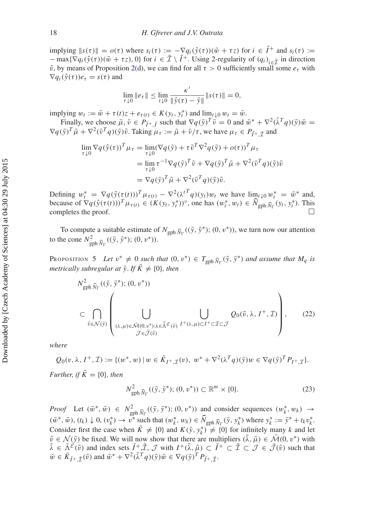$\lim_{\delta} ||s(\tau)|| = o(\tau)$  where  $s_i(\tau) := -\nabla q_i(\hat{y}(\tau))(\bar{w} + \tau z)$  for  $i \in \tilde{I}^+$  and  $s_i(\tau) :=$  $-\max{\nabla q_i(\hat{y}(\tau))(\bar{w} + \tau z)}$ , 0} for  $i \in \tilde{\mathcal{I}} \setminus \tilde{I}^+$ . Using 2-regularity of  $(q_i)_{i \in \tilde{\mathcal{T}}}$  in direction  $\tilde{v}$ , by means of Proposition [2\(](#page-9-2)d), we can find for all  $\tau > 0$  sufficiently small some  $e_{\tau}$  with  $\nabla q_i(\hat{v}(\tau))e_\tau = s(\tau)$  and

$$
\lim_{\tau \downarrow 0} \|e_{\tau}\| \le \lim_{t \downarrow 0} \frac{\kappa'}{\|\hat{y}(\tau) - \bar{y}\|} \|s(\tau)\| = 0,
$$

 $\text{implying } w_t := \bar{w} + \tau(t)z + e_{\tau(t)} \in K(y_t, y_t^*) \text{ and } \lim_{\pi \downarrow 0} w_t = \bar{w}.$ 

Finally, we choose  $\bar{\mu}, \bar{\nu} \in P_{\bar{I}^+ \cdot \bar{I}}$  such that  $\nabla q(\bar{y})^T \bar{\nu} = 0$  and  $\bar{w}^* + \nabla^2 (\tilde{\lambda}^T q)(\bar{y}) \bar{w} =$  $\nabla q(\bar{y})^T \bar{\mu} + \nabla^2 (\bar{v}^T q)(\bar{y}) \tilde{v}$ . Taking  $\mu_{\tau} := \bar{\mu} + \bar{v}/\tau$ , we have  $\mu_{\tau} \in P_{\tilde{\tau}^+} \tilde{\tau}$  and

$$
\lim_{\tau \downarrow 0} \nabla q(\hat{y}(\tau))^T \mu_{\tau} = \lim_{\tau \downarrow 0} (\nabla q(\bar{y}) + \tau \tilde{v}^T \nabla^2 q(\bar{y}) + o(\tau))^T \mu_{\tau}
$$
  
\n
$$
= \lim_{\tau \downarrow 0} \tau^{-1} \nabla q(\bar{y})^T \bar{v} + \nabla q(\bar{y})^T \bar{\mu} + \nabla^2 (\bar{v}^T q)(\bar{y}) \tilde{v}
$$
  
\n
$$
= \nabla q(\bar{y})^T \bar{\mu} + \nabla^2 (\bar{v}^T q)(\bar{y}) \tilde{v}.
$$

Defining  $w_t^* = \nabla q(\hat{y}(\tau(t)))^T \mu_{\tau(t)} - \nabla^2 (\lambda^{tT} q)(y_t) w_t$  we have  $\lim_{t \to 0} w_t^* = \bar{w}^*$  and, because of  $\nabla q(\hat{y}(\tau(t)))^T \mu_{\tau(t)} \in (K(y_t, y_t^*))^\circ$ , one has  $(w_t^*, w_t) \in \widehat{N}_{\text{gph }\widehat{N}_\Gamma}(y_t, y_t^*)$ . This completes the proof.  $\Box$ 

To compute a suitable estimate of  $N_{\text{gph}} \hat{N}_{\Gamma}((\bar{y}, \bar{y}^*); (0, v^*))$ , we turn now our attention to the cone  $N_{\text{gph}}^2 \hat{N}_{\Gamma}$  $((\bar{y}, \bar{y}^*); (0, v^*)).$ 

PROPOSITION 5 *Let*  $v^* \neq 0$  *such that*  $(0, v^*) \in T_{\text{gph}} \hat{N}_{\Gamma}(\bar{y}, \bar{y}^*)$  *and assume that*  $M_q$  *is metrically subregular at*  $\bar{y}$ *. If*  $\bar{K} \neq \{0\}$ *, then* 

<span id="page-19-2"></span><span id="page-19-0"></span>
$$
N_{\text{gph }\widehat{N}_{\Gamma}}^{2}((\bar{y}, \bar{y}^{*}); (0, v^{*}))
$$
\n
$$
\subset \bigcap_{\tilde{v}\in \mathcal{N}(\bar{y})}\left(\bigcup_{(\lambda,\mu)\in \bar{\mathcal{M}}(0, v^{*}); \lambda\in \bar{\tilde{\Lambda}}^{\mathcal{E}}(\tilde{v})} \bigcup_{I^{+}(\lambda,\mu)\subset I^{+}\subset \mathcal{I}\subset \mathcal{J}} Q_{0}(\tilde{v}, \lambda, I^{+}, \mathcal{I})\right),
$$
\n(22)

*where*

$$
Q_0(v, \lambda, I^+, \mathcal{I}) := \{ (w^*, w) \mid w \in \bar{K}_{I^+, \mathcal{I}}(v), w^* + \nabla^2(\lambda^T q)(\bar{y})w \in \nabla q(\bar{y})^T P_{I^+, \mathcal{I}} \}.
$$

*Further, if*  $\overline{K} = \{0\}$ *, then* 

<span id="page-19-1"></span>
$$
N_{\text{gph}}^2 \widehat{N}_{\Gamma}((\bar{y}, \bar{y}^*); (0, v^*)) \subset \mathbb{R}^m \times \{0\}. \tag{23}
$$

*Proof* Let  $(\bar{w}^*, \bar{w}) \in N^2_{\text{gph}} \widehat{N}_{\Gamma}((\bar{y}, \bar{y}^*); (0, v^*))$  and consider sequences  $(w_k^*, w_k) \to (z^*, z^*, (0, v^*))$  $(\bar{w}^*, \bar{w}), (t_k) \downarrow 0, (\bar{v}_k^*) \to \bar{v}^*$  such that  $(w_k^*, w_k) \in \widehat{N}_{\text{gph } \widehat{N}_{\Gamma}}(\bar{y}, y_k^*)$  where  $y_k^* := \bar{y}^* + t_k v_k^*$ . Consider first the case when  $\bar{K} \neq \{0\}$  and  $K(\bar{y}, y_k^*) \neq \{0\}$  for infinitely many *k* and let  $\tilde{v} \in \mathcal{N}(\bar{y})$  be fixed. We will now show that there are multipliers  $(\tilde{\lambda}, \tilde{\mu}) \in \tilde{\mathcal{M}}(0, v^*)$  with  $\tilde{\lambda} \in \bar{\Lambda}^{\tilde{\mathcal{E}}}(\tilde{v})$  and index sets  $\tilde{I}^+$ ,  $\tilde{\mathcal{I}}, \mathcal{J}$  with  $I^+(\tilde{\lambda}, \tilde{\mu}) \subset \tilde{I}^+ \subset \tilde{\mathcal{I}} \subset \mathcal{J} \in \bar{\mathcal{J}}(\tilde{v})$  such that  $\overline{w} \in \overline{K}_{\tilde{I}^+,\tilde{\mathcal{I}}}(\tilde{v})$  and  $\overline{w}^* + \nabla^2(\tilde{\lambda}^T q)(\overline{y})\overline{w} \in \nabla q(\overline{y})^T P_{\tilde{I}^+,\tilde{\mathcal{I}}}$ .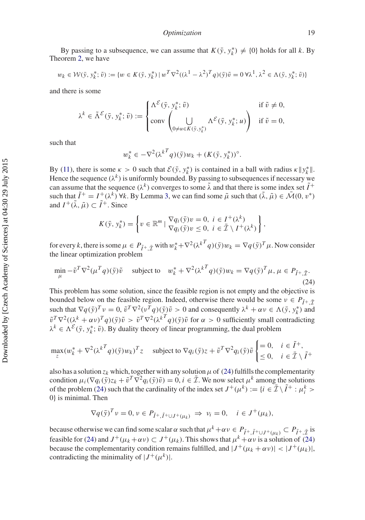By passing to a subsequence, we can assume that  $K(\bar{y}, y_k^*) \neq \{0\}$  holds for all *k*. By Theorem [2,](#page-7-2) we have

$$
w_k \in \mathcal{W}(\bar{y}, y_k^*, \tilde{v}) := \{ w \in K(\bar{y}, y_k^*) \mid w^T \nabla^2 ((\lambda^1 - \lambda^2)^T q)(\bar{y}) \tilde{v} = 0 \,\forall \lambda^1, \lambda^2 \in \Lambda(\bar{y}, y_k^*, \tilde{v}) \}
$$

and there is some

$$
\lambda^k \in \tilde{\Lambda}^{\mathcal{E}}(\bar{y}, y_k^*, \tilde{v}) := \begin{cases} \Lambda^{\mathcal{E}}(\bar{y}, y_k^*, \tilde{v}) & \text{if } \tilde{v} \neq 0, \\ \text{conv} \left( \bigcup_{0 \neq u \in K(\bar{y}, y_k^*)} \Lambda^{\mathcal{E}}(\bar{y}, y_k^*, u) \right) & \text{if } \tilde{v} = 0, \end{cases}
$$

such that

$$
w_k^* \in -\nabla^2(\lambda^{kT} q)(\bar{y})w_k + (K(\bar{y}, y_k^*))^{\circ}.
$$

By [\(11\)](#page-6-2), there is some  $\kappa > 0$  such that  $\mathcal{E}(\bar{y}, y_k^*)$  is contained in a ball with radius  $\kappa ||y_k^*||$ . Hence the sequence  $(\lambda^k)$  is uniformly bounded. By passing to subsequences if necessary we can assume that the sequence  $(\lambda^k)$  converges to some  $\tilde{\lambda}$  and that there is some index set  $\tilde{I}^+$ such that  $\tilde{I}^+ = I^+(\lambda^k)$   $\forall k$ . By Lemma [3,](#page-14-0) we can find some  $\tilde{\mu}$  such that  $(\tilde{\lambda}, \tilde{\mu}) \in \tilde{\mathcal{M}}(0, v^*)$ and  $I^+(\tilde{\lambda}, \tilde{\mu}) \subset \tilde{I}^+$ . Since

<span id="page-20-0"></span>
$$
K(\bar{y}, y_k^*) = \left\{ v \in \mathbb{R}^m \mid \frac{\nabla q_i(\bar{y})v = 0, i \in I^+(\lambda^k)}{\nabla q_i(\bar{y})v \le 0, i \in \bar{\mathcal{I}} \setminus I^+(\lambda^k)} \right\},\
$$

for every *k*, there is some  $\mu \in P_{\tilde{I}^+,\tilde{\mathcal{I}}}$  with  $w_k^* + \nabla^2 (\lambda^k T q)(\bar{y})w_k = \nabla q(\bar{y})^T \mu$ . Now consider the linear optimization problem

$$
\min_{\mu} -\tilde{v}^T \nabla^2 (\mu^T q)(\bar{y}) \tilde{v} \quad \text{subject to} \quad w_k^* + \nabla^2 (\lambda^{kT} q)(\bar{y}) w_k = \nabla q(\bar{y})^T \mu, \mu \in P_{\tilde{I}^+, \tilde{I}^+}
$$
\n(24)

This problem has some solution, since the feasible region is not empty and the objective is bounded below on the feasible region. Indeed, otherwise there would be some  $v \in P_{\tilde{I}^+} \tilde{\tau}$ such that  $\nabla q(\bar{y})^T v = 0$ ,  $\tilde{v}^T \nabla^2 (v^T q)(\bar{y}) \tilde{v} > 0$  and consequently  $\lambda^k + \alpha v \in \Lambda(\bar{y}, y_k^*)$  and  $\tilde{v}^T \nabla^2((\lambda^k + \alpha \nu)^T q)(\bar{y})\tilde{v} > \tilde{v}^T \nabla^2(\lambda^{k} q)(\bar{y})\tilde{v}$  for  $\alpha > 0$  sufficiently small contradicting  $\lambda^k \in \Lambda^{\mathcal{E}}(\bar{y}, y_k^*, \tilde{v})$ . By duality theory of linear programming, the dual problem

$$
\max_{z} (w_k^* + \nabla^2 (\lambda^{k} q)(\bar{y}) w_k)^T z \quad \text{subject to } \nabla q_i(\bar{y}) z + \tilde{v}^T \nabla^2 q_i(\bar{y}) \tilde{v} \begin{cases} = 0, & i \in \tilde{I}^+, \\ \leq 0, & i \in \bar{\mathcal{I}} \setminus \tilde{I}^+ \end{cases}
$$

also has a solution  $z_k$  which, together with any solution  $\mu$  of [\(24\)](#page-20-0) fulfills the complementarity condition  $\mu_i(\nabla q_i(\bar{y})z_k + \tilde{v}^T \nabla^2 q_i(\bar{y})\tilde{v}) = 0, i \in \bar{\mathcal{I}}$ . We now select  $\mu^k$  among the solutions of the problem [\(24\)](#page-20-0) such that the cardinality of the index set  $J^+(\mu^k) := \{i \in \mathcal{I} \setminus \tilde{I}^+ : \mu_i^k > i\}$ 0} is minimal. Then

$$
\nabla q(\bar{\mathbf{y}})^T \mathbf{v} = 0, \mathbf{v} \in P_{\tilde{I}^+, \tilde{I}^+ \cup J^+(\mu_k)} \implies \mathbf{v}_i = 0, \quad i \in J^+(\mu_k),
$$

because otherwise we can find some scalar  $\alpha$  such that  $\mu^k + \alpha \nu \in P_{\tilde{I}^+, \tilde{I}^+ \cup J^+ (\mu_k)} \subset P_{\tilde{I}^+, \tilde{I}^+}$  is feasible for [\(24\)](#page-20-0) and  $J^+(\mu_k + \alpha \nu) \subset J^+(\mu_k)$ . This shows that  $\mu^k + \alpha \nu$  is a solution of (24) because the complementarity condition remains fulfilled, and  $|J^+(\mu_k + \alpha \nu)| < |J^+(\mu_k)|$ , contradicting the minimality of  $|J^+(\mu^k)|$ .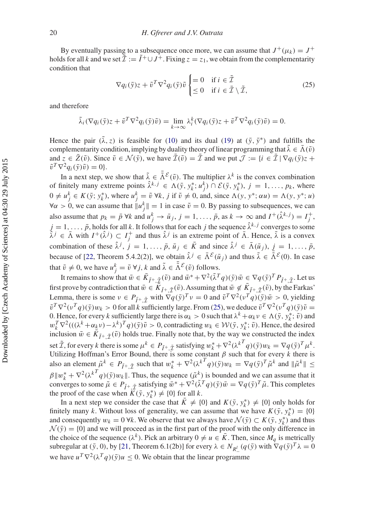By eventually passing to a subsequence once more, we can assume that  $J^+(\mu_k) = J^+$ holds for all *k* and we set  $\tilde{\mathcal{I}} := \tilde{I}^+ \cup J^+$ . Fixing  $z = z_1$ , we obtain from the complementarity condition that

<span id="page-21-0"></span>
$$
\nabla q_i(\bar{\mathbf{y}})z + \tilde{v}^T \nabla^2 q_i(\bar{\mathbf{y}}) \tilde{v} \begin{cases} = 0 & \text{if } i \in \tilde{\mathcal{I}} \\ \leq 0 & \text{if } i \in \tilde{\mathcal{I}} \setminus \tilde{\mathcal{I}}, \end{cases}
$$
 (25)

and therefore

$$
\tilde{\lambda}_i(\nabla q_i(\bar{y})z + \tilde{v}^T \nabla^2 q_i(\bar{y})\tilde{v}) = \lim_{k \to \infty} \lambda_i^k(\nabla q_i(\bar{y})z + \tilde{v}^T \nabla^2 q_i(\bar{y})\tilde{v}) = 0.
$$

Hence the pair  $(\lambda, z)$  is feasible for [\(10\)](#page-6-1) and its dual [\(19\)](#page-12-0) at  $(\bar{y}, \bar{y}^*)$  and fulfills the complementarity condition, implying by duality theory of linear programming that  $\lambda \in \overline{\Lambda}(\tilde{v})$ and  $z \in \bar{Z}(\tilde{v})$ . Since  $\tilde{v} \in \mathcal{N}(\bar{y})$ , we have  $\bar{Z}(\tilde{v}) = \bar{Z}$  and we put  $\mathcal{J} := \{i \in \bar{Z} \mid \nabla q_i(\bar{y})z + \bar{z}\}$  $\tilde{v}^T \nabla^2 q_i(\bar{v}) \tilde{v} = 0$ .

In a next step, we show that  $\bar{\lambda} \in \bar{\bar{\Lambda}}^{\mathcal{E}}(\tilde{v})$ . The multiplier  $\lambda^k$  is the convex combination of finitely many extreme points  $\hat{\lambda}^{k,j} \in \Lambda(\bar{y}, y_k^*; u_j^k) \cap \mathcal{E}(\bar{y}, y_k^*), j = 1, ..., p_k$ , where  $0 \neq u_j^k \in K(\bar{y}; y_k^*)$ , where  $u_j^k = \tilde{v} \forall k, j \text{ if } \tilde{v} \neq 0$ , and, since  $\Lambda(y, y^*; \alpha u) = \Lambda(y, y^*; u)$  $\forall \alpha > 0$ , we can assume that  $||u_j^k|| = 1$  in case  $\tilde{v} = 0$ . By passing to subsequences, we can also assume that  $p_k = \bar{p} \forall k$  and  $u_j^k \to \bar{u}_j$ ,  $j = 1, \ldots, \bar{p}$ , as  $k \to \infty$  and  $I^+(\hat{\lambda}^{k,j}) = I_j^+$ ,  $j = 1, \ldots, \bar{p}$ , holds for all *k*. It follows that for each *j* the sequence  $\hat{\lambda}^{k,j}$  converges to some  $\hat{\lambda}^j \in \bar{\Lambda}$  with  $I^+(\hat{\lambda}^j) \subset I_j^+$  and thus  $\hat{\lambda}^j$  is an extreme point of  $\bar{\Lambda}$ . Hence,  $\tilde{\lambda}$  is a convex combination of these  $\hat{\lambda}^j$ ,  $j = 1, ..., \bar{p}$ ,  $\bar{u}_j \in \bar{K}$  and since  $\hat{\lambda}^j \in \bar{\Lambda}(\bar{u}_j)$ ,  $j = 1, ..., \bar{p}$ , because of [\[22](#page-31-0), Theorem 5.4.2(2)], we obtain  $\hat{\lambda}^j \in \bar{\Lambda}^{\mathcal{E}}(\bar{u}_j)$  and thus  $\tilde{\lambda} \in \bar{\tilde{\Lambda}}^{\mathcal{E}}(0)$ . In case that  $\tilde{v} \neq 0$ , we have  $u_j^k = \tilde{v} \ \forall j, k$  and  $\tilde{\lambda} \in \tilde{\Lambda}^{\mathcal{E}}(\tilde{v})$  follows.

It remains to show that  $\bar{w} \in \bar{K}_{\tilde{I}^+,\tilde{\mathcal{I}}}(\tilde{v})$  and  $\bar{w}^* + \nabla^2(\tilde{\lambda}^T q)(\bar{y})\bar{w} \in \nabla q(\bar{y})^T P_{\tilde{I}^+,\tilde{\mathcal{I}}}$ . Let us first prove by contradiction that  $\bar{w} \in \overline{K}_{\tilde{I}^+ \tilde{\tau}}(\tilde{v})$ . Assuming that  $\bar{w} \notin \overline{K}_{\tilde{I}^+ \tilde{\tau}}(\tilde{v})$ , by the Farkas' Lemma, there is some  $v \in P_{\tilde{I}^+ \tilde{\mathcal{I}}}$  with  $\nabla q(\bar{y})^T v = 0$  and  $\tilde{v}^T \nabla^2 (v^T q)(\bar{y}) \bar{w} > 0$ , yielding  $\tilde{v}^T \nabla^2 (v^T q)(\bar{y})w_k > 0$  for all *k* sufficiently large. From [\(25\)](#page-21-0), we deduce  $\tilde{v}^T \nabla^2 (v^T q)(\bar{y})\tilde{v} =$ 0. Hence, for every *k* sufficiently large there is  $\alpha_k > 0$  such that  $\lambda^k + \alpha_k v \in \Lambda(\bar{y}, y_k^*; \tilde{v})$  and  $w_k^T \nabla^2 ((\lambda^k + \alpha_k v) - \lambda^k)^T q)(\bar{y})\tilde{v} > 0$ , contradicting  $w_k \in \mathcal{W}(\bar{y}, y_k^*; \tilde{v})$ . Hence, the desired inclusion  $\bar{w} \in \bar{K}_{\tilde{I}^+,\tilde{I}^+}(\tilde{v})$  holds true. Finally note that, by the way we constructed the index set  $\tilde{\mathcal{I}}$ , for every *k* there is some  $\mu^k \in P_{\tilde{I}^+,\tilde{\mathcal{I}}}$  satisfying  $w_k^* + \nabla^2 (\lambda^k T q)(\bar{y})w_k = \nabla q(\bar{y})^T \mu^k$ . Utilizing Hoffman's Error Bound, there is some constant  $\beta$  such that for every  $k$  there is also an element  $\tilde{\mu}^k \in P_{\tilde{I}^+,\tilde{\mathcal{I}}}$  such that  $w_k^* + \nabla^2(\lambda^k T_q)(\bar{y})w_k = \nabla q(\bar{y})^T \tilde{\mu}^k$  and  $\|\tilde{\mu}^k\| \leq$  $\beta ||w_k^* + \nabla^2(\lambda^{k} q)(\bar{y})w_k||$ . Thus, the sequence  $(\tilde{\mu}^k)$  is bounded and we can assume that it converges to some  $\tilde{\mu} \in P_{\tilde{\tau}^+ \tilde{\tau}}$  satisfying  $\bar{w}^* + \nabla^2 (\tilde{\lambda}^T q)(\bar{y}) \bar{w} = \nabla q(\bar{y})^T \tilde{\mu}$ . This completes the proof of the case when  $K(\bar{y}, y_k^*) \neq \{0\}$  for all *k*.

In a next step we consider the case that  $\bar{K} \neq \{0\}$  and  $K(\bar{y}, y_k^*) \neq \{0\}$  only holds for finitely many *k*. Without loss of generality, we can assume that we have  $K(\bar{y}, y_k^*) = \{0\}$ and consequently  $w_k = 0$  ∀*k*. We observe that we always have  $\mathcal{N}(\bar{y}) \subset K(\bar{y}, y_k^*)$  and thus  $\mathcal{N}(\bar{y}) = \{0\}$  and we will proceed as in the first part of the proof with the only difference in the choice of the sequence  $(\lambda^k)$ . Pick an arbitrary  $0 \neq u \in \overline{K}$ . Then, since  $M_q$  is metrically subregular at  $(\bar{y}, 0)$ , by [\[21,](#page-30-18) Theorem 6.1(2b)] for every  $\lambda \in N_{R_-^l}(q(\bar{y})$  with  $\nabla q(\bar{y})^T \lambda = 0$ we have  $u^T \nabla^2 (\lambda^T q)(\bar{y}) u < 0$ . We obtain that the linear programme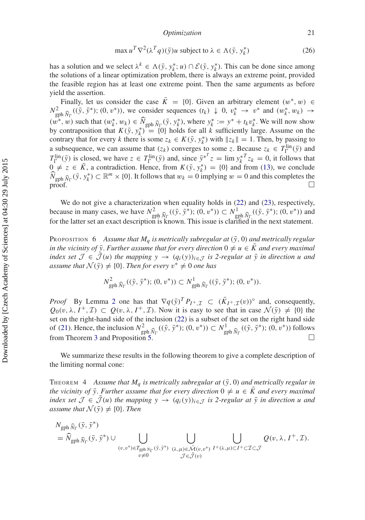*Optimization* 21

$$
\max u^T \nabla^2 (\lambda^T q)(\bar{y}) u \text{ subject to } \lambda \in \Lambda(\bar{y}, y_k^*)
$$
 (26)

has a solution and we select  $\lambda^k \in \Lambda(\bar{y}, y_k^*; u) \cap \mathcal{E}(\bar{y}, y_k^*)$ . This can be done since among the solutions of a linear optimization problem, there is always an extreme point, provided the feasible region has at least one extreme point. Then the same arguments as before yield the assertion.

Finally, let us consider the case  $\bar{K} = \{0\}$ . Given an arbitrary element  $(w^*, w) \in$  $N_{\text{gph}}^2 \hat{N}_{\Gamma}((\bar{y}, \bar{y}^*); (0, v^*)),$  we consider sequences  $(t_k) \downarrow 0$ ,  $v_k^* \rightarrow v^*$  and  $(w_k^*, w_k) \rightarrow$  $(w^*, w)$  such that  $(w^*_k, w_k) \in \widehat{N}_{\text{gph } \widehat{N}_{\Gamma}}(\overline{y}, y^*_k)$ , where  $y^*_k := y^* + t_k v^*_k$ . We will now show by contraposition that  $K(\bar{y}, y_k^*) = \{0\}$  holds for all  $k$  sufficiently large. Assume on the contrary that for every *k* there is some  $z_k \in K(\bar{y}, y_k^*)$  with  $||z_k|| = 1$ . Then, by passing to a subsequence, we can assume that  $(z_k)$  converges to some *z*. Because  $z_k \in T_{\Gamma}^{\text{lin}}(\bar{y})$  and  $T_{\Gamma}^{\text{lin}}(\bar{y})$  is closed, we have  $z \in T_{\Gamma}^{\text{lin}}(\bar{y})$  and, since  $\bar{y}^{*T}z = \lim y_k^{*T}z_k = 0$ , it follows that  $0 \neq z \in \overline{K}$ , a contradiction. Hence, from  $K(\overline{y}, y_k^*) = \{0\}$  and from [\(13\)](#page-7-1), we conclude  $\widehat{N}_{\text{gph }\hat{N}_{\Gamma}}(\bar{y}, y_{k}^{*}) \subset \mathbb{R}^{m} \times \{0\}$ . It follows that  $w_{k} = 0$  implying  $w = 0$  and this completes the  $\Box$ 

We do not give a characterization when equality holds in [\(22\)](#page-19-0) and [\(23\)](#page-19-1), respectively, because in many cases, we have  $N_{\text{gph}}^2 \hat{N}_{\Gamma}((\bar{y}, \bar{y}^*); (0, v^*)) \subset N_{\text{gph}}^1 \hat{N}_{\Gamma}((\bar{y}, \bar{y}^*); (0, v^*))$  and for the letter set an exact description is known. This issue is clearified in the next statement for the latter set an exact description is known. This issue is clarified in the next statement.

PROPOSITION 6 Assume that  $M_q$  is metrically subregular at  $(\bar{y}, 0)$  and metrically regular *in the vicinity of*  $\bar{y}$ *. Further assume that for every direction*  $0 \neq u \in K$  *and every maximal index set*  $\mathcal{J} \in \mathcal{J}(u)$  *the mapping*  $y \to (q_i(y))_{i \in \mathcal{J}}$  *is 2-regular at*  $\bar{y}$  *in direction u and assume that*  $\mathcal{N}(\bar{y}) \neq \{0\}$ *. Then for every*  $v^* \neq 0$  *one has* 

<span id="page-22-0"></span>
$$
N^2_{\text{gph}\,\widehat{N}_{\Gamma}}((\bar{y},\,\bar{y}^*);(0,\,v^*))\subset N^1_{\text{gph}\,\widehat{N}_{\Gamma}}((\bar{y},\,\bar{y}^*);(0,\,v^*)).
$$

*Proof* By Lemma [2](#page-14-1) one has that  $\nabla q(\bar{y})^T P_{I^+, \mathcal{I}} \subset (\bar{K}_{I^+, \mathcal{I}}(v))^{\circ}$  and, consequently,  $Q_0(v, \lambda, I^+, \mathcal{I}) \subset Q(v, \lambda, I^+, \mathcal{I})$ . Now it is easy to see that in case  $\mathcal{N}(\bar{y}) \neq \{0\}$  the set on the right-hand side of the inclusion [\(22\)](#page-19-0) is a subset of the set on the right hand side of [\(21\)](#page-16-0). Hence, the inclusion  $N_{\text{gph}}^2 \hat{N}_{\Gamma}((\bar{y}, \bar{y}^*); (0, v^*)) \subset N_{\text{gph}}^1 \hat{N}_{\Gamma}((\bar{y}, \bar{y}^*); (0, v^*))$  follows from Theorem [3](#page-15-1) and Proposition [5.](#page-19-2)

<span id="page-22-1"></span>We summarize these results in the following theorem to give a complete description of the limiting normal cone:

THEOREM 4 Assume that  $M_q$  is metrically subregular at  $(\bar{y}, 0)$  and metrically regular in *the vicinity of*  $\bar{y}$ *. Further assume that for every direction*  $0 \neq u \in \bar{K}$  *and every maximal index set*  $\mathcal{J} \in \mathcal{J}(u)$  *the mapping*  $y \to (q_i(y))_{i \in \mathcal{J}}$  *is 2-regular at*  $\bar{y}$  *in direction u and assume that*  $\mathcal{N}(\bar{y}) \neq \{0\}$ *. Then* 

$$
\begin{split} &N_{\mathrm{gph}}\,\widehat{\mathbf{N}}_{\Gamma}\,(\bar{\mathbf{y}},\,\bar{\mathbf{y}}^*)\\ &=\widehat{N}_{\mathrm{gph}}\,\widehat{\mathbf{N}}_{\Gamma}\,(\bar{\mathbf{y}},\,\bar{\mathbf{y}}^*)\,\cup\bigcup_{\substack{(v,v^*)\in T_{\mathrm{gph}\,N_{\Gamma}}(\bar{\mathbf{y}},\,\bar{\mathbf{y}}^*)}}\,\bigcup_{\substack{(\lambda,\mu)\in\bar{\mathcal{M}}(v,v^*)\\ \mathcal{J}\in\bar{\mathcal{J}}(v)}}\,\bigcup_{\substack{I^+\left(\lambda,\mu\right)\subset I^+\subset\mathcal{I}\subset\mathcal{J} }}\mathcal{Q}(v,\lambda,\,I^+,\mathcal{I}). \end{split}
$$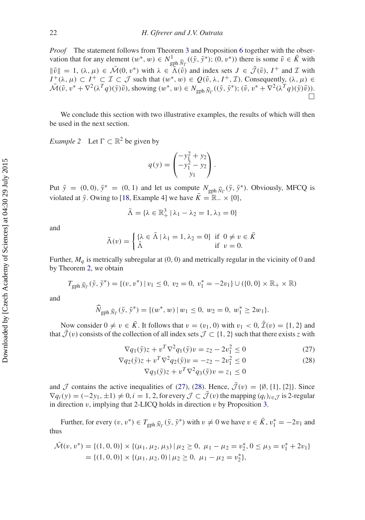*Proof* The statement follows from Theorem [3](#page-15-1) and Proposition [6](#page-22-0) together with the observation that for any element  $(w^*, w) \in N^1_{\text{gph }\hat{N}_{\Gamma}}((\bar{y}, \bar{y}^*); (0, v^*))$  there is some  $\tilde{v} \in \bar{K}$  with  $\|\tilde{v}\| = 1$ ,  $(\lambda, \mu) \in \tilde{\mathcal{M}}(0, v^*)$  with  $\lambda \in \tilde{\Lambda}(\tilde{v})$  and index sets  $J \in \tilde{\mathcal{J}}(\tilde{v})$ ,  $I^+$  and  $\mathcal{I}$  with  $I^+(\lambda, \mu) \subset I^+ \subset \mathcal{I} \subset \mathcal{J}$  such that  $(w^*, w) \in Q(\tilde{v}, \lambda, I^+, \mathcal{I})$ . Consequently,  $(\lambda, \mu) \in$  $\overline{\mathcal{M}}(\tilde{v}, v^* + \nabla^2(\lambda^T q)(\bar{y})\tilde{v})$ , showing  $(w^*, w) \in N_{\text{gph}} \hat{N}_{\Gamma}((\bar{y}, \bar{y}^*); (\tilde{v}, v^* + \nabla^2(\lambda^T q)(\bar{y})\tilde{v}))$ .  $\Box$ 

<span id="page-23-1"></span>We conclude this section with two illustrative examples, the results of which will then be used in the next section.

*Example* 2 Let  $\Gamma \subset \mathbb{R}^2$  be given by

$$
q(y) = \begin{pmatrix} -y_1^2 + y_2 \\ -y_1^2 - y_2 \\ y_1 \end{pmatrix}.
$$

Put  $\bar{y} = (0, 0), \bar{y}^* = (0, 1)$  and let us compute  $N_{\text{gph}} \hat{N}_{\Gamma}(\bar{y}, \bar{y}^*)$ . Obviously, MFCQ is violated at *y*<sup>ī</sup>. Owing to [\[18,](#page-30-15) Example 4] we have  $\bar{K} = \mathbb{R}^- \times \{0\}$ ,

$$
\bar{\Lambda}=\{\lambda\in\mathbb{R}^3_+\,|\,\lambda_1-\lambda_2=1,\,\lambda_3=0\}
$$

and

$$
\bar{\Lambda}(v) = \begin{cases} {\lambda \in \bar{\Lambda} \mid \lambda_1 = 1, \lambda_2 = 0} & \text{if } 0 \neq v \in \bar{K} \\ \bar{\Lambda} & \text{if } v = 0. \end{cases}
$$

Further,  $M_q$  is metrically subregular at  $(0, 0)$  and metrically regular in the vicinity of 0 and by Theorem [2,](#page-7-2) we obtain

$$
T_{\text{gph }\widehat{N}_{\Gamma}}(\bar{y},\bar{y}^*) = \{ (v,v^*) \mid v_1 \le 0, v_2 = 0, v_1^* = -2v_1 \} \cup (\{0,0\} \times \mathbb{R}_+ \times \mathbb{R})
$$

and

$$
\widehat{N}_{\text{gph }\widehat{N}_{\Gamma}}(\bar{y},\bar{y}^*) = \{ (w^*,w) \mid w_1 \le 0, w_2 = 0, w_1^* \ge 2w_1 \}.
$$

Now consider  $0 \neq v \in \overline{K}$ . It follows that  $v = (v_1, 0)$  with  $v_1 < 0$ ,  $\overline{\mathcal{I}}(v) = \{1, 2\}$  and that  $\bar{J}(v)$  consists of the collection of all index sets  $J \subset \{1, 2\}$  such that there exists *z* with

<span id="page-23-0"></span>
$$
\nabla q_1(\bar{y})z + v^T \nabla^2 q_1(\bar{y})v = z_2 - 2v_1^2 \le 0
$$
\n(27)

$$
\nabla q_2(\bar{y})z + v^T \nabla^2 q_2(\bar{y})v = -z_2 - 2v_1^2 \le 0
$$
  
 
$$
\nabla q_3(\bar{y})z + v^T \nabla^2 q_3(\bar{y})v = z_1 \le 0
$$
 (28)

and  $\mathcal J$  contains the active inequalities of [\(27\)](#page-23-0), [\(28\)](#page-23-0). Hence,  $\bar{\mathcal J}(v) = {\emptyset, \{1\}, \{2\}}$ . Since  $\nabla q_i(y) = (-2y_1, \pm 1) \neq 0, i = 1, 2$ , for every  $\mathcal{J} \subset \overline{\mathcal{J}}(v)$  the mapping  $(q_i)_{i \in \mathcal{J}}$  is 2-regular in direction  $v$ , implying that 2-LICQ holds in direction  $v$  by Proposition [3.](#page-12-2)

Further, for every  $(v, v^*) \in T_{\text{gph}} \hat{N}_{\Gamma}(\bar{y}, \bar{y}^*)$  with  $v \neq 0$  we have  $v \in \bar{K}$ ,  $v_1^* = -2v_1$  and thus

$$
\tilde{\mathcal{M}}(v, v^*) = \{(1, 0, 0)\} \times \{(\mu_1, \mu_2, \mu_3) \mid \mu_2 \ge 0, \ \mu_1 - \mu_2 = v_2^*, 0 \le \mu_3 = v_1^* + 2v_1\}
$$
  
= \{(1, 0, 0)\} \times \{(\mu\_1, \mu\_2, 0) \mid \mu\_2 \ge 0, \ \mu\_1 - \mu\_2 = v\_2^\*\},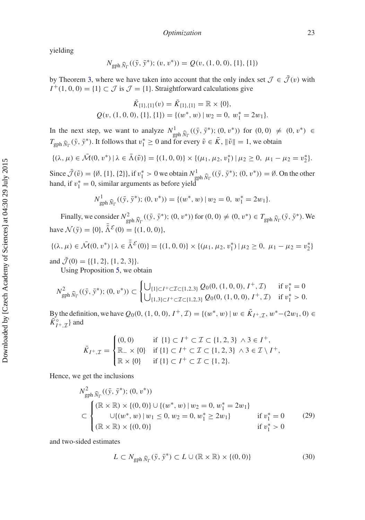yielding

$$
N_{\text{gph }\widehat{N}_{\Gamma}}((\bar{y},\bar{y}^*);(v,v^*)) = Q(v,(1,0,0),\{1\},\{1\})
$$

by Theorem [3,](#page-15-1) where we have taken into account that the only index set  $\mathcal{J} \in \bar{\mathcal{J}}(v)$  with  $I^+(1, 0, 0) = \{1\} \subset \mathcal{J}$  is  $\mathcal{J} = \{1\}$ . Straightforward calculations give

$$
\bar{K}_{\{1\},\{1\}}(v) = \bar{K}_{\{1\},\{1\}} = \mathbb{R} \times \{0\},
$$
  

$$
Q(v, (1, 0, 0), \{1\}, \{1\}) = \{(w^*, w) \mid w_2 = 0, w_1^* = 2w_1\}.
$$

In the next step, we want to analyze  $N^1$ <br> $\bar{y}$ <sub>Dh</sub>  $\hat{y}$ <sub>r</sub><sup>(( $\bar{y}$ ,  $\bar{y}^*$ );(0, v<sup>\*</sup>)) for (0, 0)  $\neq$  (0, v<sup>\*</sup>) ∈</sup>  $T_{\text{gph }\hat{N}_{\Gamma}}(\bar{y}, \bar{y}^*)$ . It follows that  $v_1^* \geq 0$  and for every  $\tilde{v} \in \bar{K}$ ,  $\|\tilde{v}\| = 1$ , we obtain

$$
\{(\lambda,\mu)\in \bar{\mathcal{M}}(0,v^*)\,|\,\lambda\in \bar{\Lambda}(\tilde{v})\}=\{(1,0,0)\}\times\{(\mu_1,\mu_2,v_1^*)\,|\,\mu_2\geq 0,\,\mu_1-\mu_2=v_2^*\}.
$$

Since  $\bar{\mathcal{J}}(\tilde{v}) = \{\emptyset, \{1\}, \{2\}\}\$ , if  $v_1^* > 0$  we obtain  $N_{\text{gph}}^1 \hat{N}_{\Gamma}((\bar{y}, \bar{y}^*)$ ;  $(0, v^*)) = \emptyset$ . On the other hand, if  $v_1^* = 0$ , similar arguments as before yield

$$
N^1_{\text{gph }\widehat{N}_{\Gamma}}((\bar{y},\bar{y}^*);(0,v^*)) = \{(w^*,w) \mid w_2 = 0, w_1^* = 2w_1\}.
$$

Finally, we consider  $N_{\text{gph}}^2 \hat{N}_{\Gamma}((\bar{y}, \bar{y}^*); (0, v^*))$  for  $(0, 0) \neq (0, v^*) \in T_{\text{gph}} \hat{N}_{\Gamma}(\bar{y}, \bar{y}^*)$ . We have  $\mathcal{N}(\bar{y}) = \{0\}, \bar{\tilde{\Lambda}}^{\mathcal{E}}(0) = \{(1, 0, 0)\},\$ 

$$
\{(\lambda, \mu) \in \bar{\mathcal{M}}(0, v^*) \mid \lambda \in \bar{\tilde{\Lambda}}^{\mathcal{E}}(0)\} = \{(1, 0, 0)\} \times \{(\mu_1, \mu_2, v_1^*) \mid \mu_2 \ge 0, \ \mu_1 - \mu_2 = v_2^*\}
$$

and  $\bar{\mathcal{J}}(0) = \{\{1, 2\}, \{1, 2, 3\}\}.$ 

Using Proposition [5,](#page-19-2) we obtain

$$
N_{\text{gph}}^2 \widehat{N}_{\Gamma}((\bar{y}, \bar{y}^*); (0, v^*)) \subset \begin{cases} \bigcup_{\{1\} \subset I^+ \subset \mathcal{I} \subset \{1, 2, 3\}} Q_0(0, (1, 0, 0), I^+, \mathcal{I}) & \text{if } v_1^* = 0 \\ \bigcup_{\{1, 3\} \subset I^+ \subset \mathcal{I} \subset \{1, 2, 3\}} Q_0(0, (1, 0, 0), I^+, \mathcal{I}) & \text{if } v_1^* > 0. \end{cases}
$$

By the definition, we have  $Q_0(0, (1, 0, 0), I^+, \mathcal{I}) = \{(w^*, w) | w \in \overline{K}_{I^+, \mathcal{I}}, w^* - (2w_1, 0) \in$  $\overline{\tilde{K}}_{I^+, \mathcal{I}}^{\circ}$  and

$$
\bar{K}_{I^+,\mathcal{I}} = \begin{cases}\n(0,0) & \text{if } \{1\} \subset I^+ \subset \mathcal{I} \subset \{1,2,3\} \land 3 \in I^+, \\
\mathbb{R}_- \times \{0\} & \text{if } \{1\} \subset I^+ \subset \mathcal{I} \subset \{1,2,3\} \land 3 \in \mathcal{I} \setminus I^+, \\
\mathbb{R} \times \{0\} & \text{if } \{1\} \subset I^+ \subset \mathcal{I} \subset \{1,2\}.\n\end{cases}
$$

Hence, we get the inclusions

<span id="page-24-0"></span>
$$
N_{\text{gph}}^{2} \widehat{N}_{\Gamma}((\bar{y}, \bar{y}^{*}); (0, v^{*}))
$$
\n
$$
\subset \begin{cases}\n(\mathbb{R} \times \mathbb{R}) \times \{(0, 0)\} \cup \{(w^{*}, w) \mid w_{2} = 0, w_{1}^{*} = 2w_{1}\} \\
\cup \{(w^{*}, w) \mid w_{1} \le 0, w_{2} = 0, w_{1}^{*} \ge 2w_{1}\} & \text{if } v_{1}^{*} = 0 \\
(\mathbb{R} \times \mathbb{R}) \times \{(0, 0)\} & \text{if } v_{1}^{*} > 0\n\end{cases}
$$
\n(29)

and two-sided estimates

<span id="page-24-1"></span>
$$
L \subset N_{\text{gph}\,\widehat{N}_{\Gamma}}(\bar{y}, \bar{y}^*) \subset L \cup (\mathbb{R} \times \mathbb{R}) \times \{(0, 0)\}\tag{30}
$$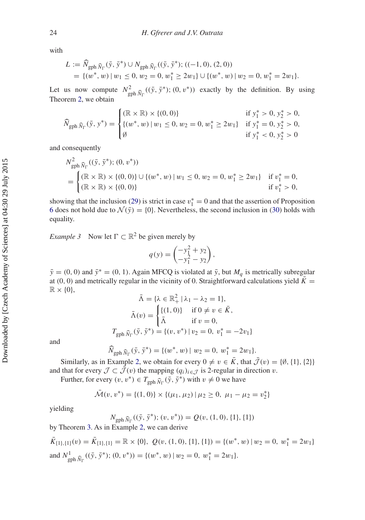with

$$
L := \widehat{N}_{\text{gph }\widehat{N}_{\Gamma}}(\bar{y}, \bar{y}^*) \cup N_{\text{gph }\widehat{N}_{\Gamma}}((\bar{y}, \bar{y}^*); ((-1, 0), (2, 0))
$$
  
= {( $w^*$ ,  $w$ ) |  $w_1 \le 0$ ,  $w_2 = 0$ ,  $w_1^* \ge 2w_1$ }  $\cup$  {( $w^*$ ,  $w$ ) |  $w_2 = 0$ ,  $w_1^* = 2w_1$  }.

Let us now compute  $N_{\text{gph}}^2 \hat{N}_{\Gamma}$ <br>Theorem 2 we obtain  $((\bar{y}, \bar{y}^*); (0, v^*))$  exactly by the definition. By using Theorem [2,](#page-7-2) we obtain

$$
\widehat{N}_{\text{gph}\,\widehat{N}_{\Gamma}}(\bar{y}, y^*) = \begin{cases}\n(\mathbb{R} \times \mathbb{R}) \times \{(0, 0)\} & \text{if } y_1^* > 0, y_2^* > 0, \\
\{(w^*, w) \mid w_1 \le 0, w_2 = 0, w_1^* \ge 2w_1\} & \text{if } y_1^* = 0, y_2^* > 0, \\
\emptyset & \text{if } y_1^* < 0, y_2^* > 0\n\end{cases}
$$

and consequently

$$
N_{\text{gph}}^2 \hat{N}_{\Gamma}((\bar{y}, \bar{y}^*); (0, v^*))
$$
  
= 
$$
\begin{cases} (\mathbb{R} \times \mathbb{R}) \times \{ (0, 0) \} \cup \{ (w^*, w) \mid w_1 \le 0, w_2 = 0, w_1^* \ge 2w_1 \} & \text{if } v_1^* = 0, \\ (\mathbb{R} \times \mathbb{R}) \times \{ (0, 0) \} & \text{if } v_1^* > 0, \end{cases}
$$

showing that the inclusion [\(29\)](#page-24-0) is strict in case  $v_1^* = 0$  and that the assertion of Proposition [6](#page-22-0) does not hold due to  $\mathcal{N}(\bar{y}) = \{0\}$ . Nevertheless, the second inclusion in [\(30\)](#page-24-1) holds with equality.

<span id="page-25-0"></span>*Example 3* Now let  $\Gamma \subset \mathbb{R}^2$  be given merely by

$$
q(y) = \begin{pmatrix} -y_1^2 + y_2 \\ -y_1^2 - y_2 \end{pmatrix},
$$

 $\bar{y}$  = (0, 0) and  $\bar{y}$ <sup>\*</sup> = (0, 1). Again MFCQ is violated at  $\bar{y}$ , but  $M_q$  is metrically subregular at (0, 0) and metrically regular in the vicinity of 0. Straightforward calculations yield  $\bar{K}$  =  $\mathbb{R} \times \{0\},\$ 

$$
\bar{\Lambda} = \{ \lambda \in \mathbb{R}_+^2 \mid \lambda_1 - \lambda_2 = 1 \},
$$
  

$$
\bar{\Lambda}(v) = \begin{cases} \{ (1, 0) \} & \text{if } 0 \neq v \in \bar{K}, \\ \bar{\Lambda} & \text{if } v = 0, \end{cases}
$$
  

$$
T_{\text{gph}} \hat{N}_{\Gamma}(\bar{y}, \bar{y}^*) = \{ (v, v^*) \mid v_2 = 0, v_1^* = -2v_1 \}
$$

and

$$
\widehat{N}_{\text{gph}\,\widehat{N}_{\Gamma}}(\bar{y},\bar{y}^*) = \{ (w^*,w) \mid w_2 = 0, w_1^* = 2w_1 \}.
$$

Similarly, as in Example [2,](#page-23-1) we obtain for every  $0 \neq v \in \overline{K}$ , that  $\overline{\mathcal{J}}(v) = \{\emptyset, \{1\}, \{2\}\}\$ and that for every  $\mathcal{J} \subset \bar{\mathcal{J}}(v)$  the mapping  $(q_i)_{i \in \mathcal{J}}$  is 2-regular in direction v.

Further, for every  $(v, v^*) \in T_{\text{gph}} \hat{N}_{\Gamma}(\bar{y}, \bar{y}^*)$  with  $v \neq 0$  we have

$$
\bar{\mathcal{M}}(v, v^*) = \{(1, 0)\} \times \{(\mu_1, \mu_2) \mid \mu_2 \ge 0, \ \mu_1 - \mu_2 = v_2^*\}
$$

yielding

$$
N_{\text{gph }\widehat{N}_{\Gamma}}((\bar{y}, \bar{y}^*); (v, v^*)) = Q(v, (1, 0), \{1\}, \{1\})
$$

by Theorem [3.](#page-15-1) As in Example [2,](#page-23-1) we can derive

$$
\bar{K}_{\{1\},\{1\}}(v) = \bar{K}_{\{1\},\{1\}} = \mathbb{R} \times \{0\}, \ Q(v,(1,0),\{1\},\{1\}) = \{(w^*,w) \mid w_2 = 0, \ w_1^* = 2w_1\}
$$
\n
$$
\text{and } N_{\text{gph}}^1 \, \widehat{N}_{\Gamma}((\bar{y}, \bar{y}^*);(0, v^*)) = \{(w^*,w) \mid w_2 = 0, \ w_1^* = 2w_1\}.
$$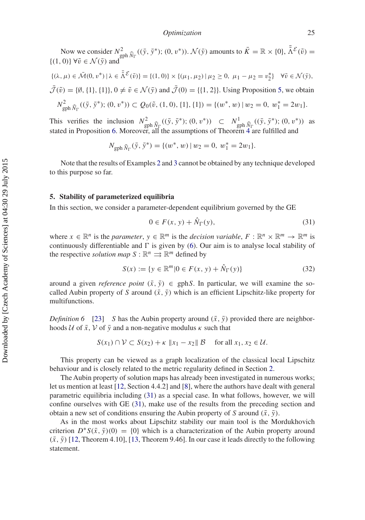Now we consider  $N_{\text{gph}}^2 \hat{N}_{\Gamma}((\bar{y}, \bar{y}^*); (0, v^*)). \mathcal{N}(\bar{y})$  amounts to  $\bar{K} = \mathbb{R} \times \{0\}, \bar{\tilde{\Lambda}}^{\mathcal{E}}(\tilde{v}) =$ <br>(1)  $\forall \tilde{v} \in \Lambda(\bar{v})$  and  $\{(1, 0)\}\,\forall \tilde{v} \in \mathcal{N}(\bar{y})$  and  $\{(\lambda, \mu) \in \bar{\mathcal{M}}(0, v^*) \mid \lambda \in \bar{\tilde{\Lambda}}^{\mathcal{E}}(\tilde{v})\} = \{(1, 0)\} \times \{(\mu_1, \mu_2) \mid \mu_2 \geq 0, \mu_1 - \mu_2 = v_2^*\} \quad \forall \tilde{v} \in \mathcal{N}(\bar{y}),$  $\bar{\mathcal{J}}(\tilde{v}) = \{\emptyset, \{1\}, \{1\}\}, 0 \neq \tilde{v} \in \mathcal{N}(\bar{y})$  and  $\bar{\mathcal{J}}(0) = \{\{1, 2\}\}.$  Using Proposition [5,](#page-19-2) we obtain  $N_{\text{gph}}^2 \hat{N}_{\Gamma}((\bar{y}, \bar{y}^*); (0, v^*)) \subset Q_0(\tilde{v}, (1, 0), \{1\}, \{1\}) = \{(w^*, w) \mid w_2 = 0, w_1^* = 2w_1\}.$ 

This verifies the inclusion  $N_{\text{gph}}^2 \hat{N}_{\Gamma}((\bar{y}, \bar{y}^*); (0, v^*)) \subset N_{\text{gph}}^1 \hat{N}_{\Gamma}((\bar{y}, \bar{y}^*); (0, v^*))$  as stated in Proposition 6. Moreover, all the assumptions of Theorem 4 are fulfilled and stated in Proposition [6.](#page-22-0) Moreover, all the assumptions of Theorem [4](#page-22-1) are fulfilled and

$$
N_{\text{gph }\widehat{N}_{\Gamma}}(\bar{y},\bar{y}^*) = \{ (w^*,w) \mid w_2 = 0, w_1^* = 2w_1 \}.
$$

Note that the results of Examples [2](#page-23-1) and [3](#page-25-0) cannot be obtained by any technique developed to this purpose so far.

#### <span id="page-26-0"></span>**5. Stability of parameterized equilibria**

In this section, we consider a parameter-dependent equilibrium governed by the GE

<span id="page-26-1"></span>
$$
0 \in F(x, y) + \hat{N}_{\Gamma}(y),\tag{31}
$$

where  $x \in \mathbb{R}^n$  is the *parameter*,  $y \in \mathbb{R}^m$  is the *decision variable*,  $F : \mathbb{R}^n \times \mathbb{R}^m \to \mathbb{R}^m$  is continuously differentiable and  $\Gamma$  is given by [\(6\)](#page-4-1). Our aim is to analyse local stability of the respective *solution map*  $S : \mathbb{R}^n \implies \mathbb{R}^m$  defined by

$$
S(x) := \{ y \in \mathbb{R}^m | 0 \in F(x, y) + \hat{N}_{\Gamma}(y) \}
$$
(32)

around a given *reference point*  $(\bar{x}, \bar{y}) \in \text{gph}S$ . In particular, we will examine the socalled Aubin property of *S* around  $(\bar{x}, \bar{y})$  which is an efficient Lipschitz-like property for multifunctions.

*Definition 6* [\[23\]](#page-31-1) *S* has the Aubin property around  $(\bar{x}, \bar{y})$  provided there are neighborhoods  $U$  of  $\bar{x}$ ,  $V$  of  $\bar{y}$  and a non-negative modulus  $\kappa$  such that

$$
S(x_1) \cap \mathcal{V} \subset S(x_2) + \kappa \|x_1 - x_2\| \mathcal{B} \quad \text{for all } x_1, x_2 \in \mathcal{U}.
$$

This property can be viewed as a graph localization of the classical local Lipschitz behaviour and is closely related to the metric regularity defined in Section [2.](#page-3-0)

The Aubin property of solution maps has already been investigated in numerous works; let us mention at least [\[12,](#page-30-11) Section 4.4.2] and [\[8](#page-30-7)], where the authors have dealt with general parametric equilibria including [\(31\)](#page-26-1) as a special case. In what follows, however, we will confine ourselves with GE [\(31\)](#page-26-1), make use of the results from the preceding section and obtain a new set of conditions ensuring the Aubin property of *S* around  $(\bar{x}, \bar{y})$ .

<span id="page-26-2"></span>As in the most works about Lipschitz stability our main tool is the Mordukhovich criterion  $D^*S(\bar{x}, \bar{y})$ (0) = {0} which is a characterization of the Aubin property around  $(\bar{x}, \bar{y})$  [\[12](#page-30-11), Theorem 4.10], [\[13](#page-30-12), Theorem 9.46]. In our case it leads directly to the following statement.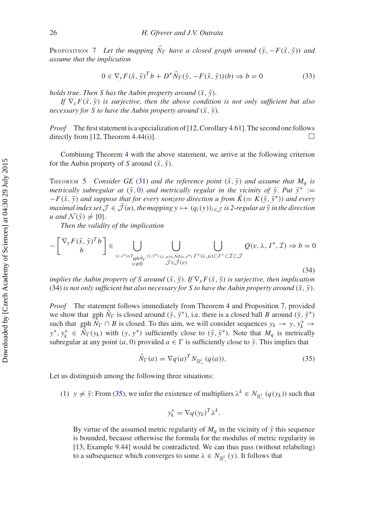PROPOSITION 7 Let the mapping  $\hat{N}_{\Gamma}$  have a closed graph around  $(\bar{y}, -F(\bar{x}, \bar{y}))$  and *assume that the implication*

$$
0 \in \nabla_y F(\bar{x}, \bar{y})^T b + D^* \hat{N}_{\Gamma}(\bar{y}, -F(\bar{x}, \bar{y}))(b) \Rightarrow b = 0
$$
\n(33)

*holds true. Then S has the Aubin property around*  $(\bar{x}, \bar{y})$ *.* 

*If*  $\nabla$ <sub>*x*</sub>  $F(\bar{x}, \bar{y})$  *is surjective, then the above condition is not only sufficient but also necessary for S to have the Aubin property around*  $(\bar{x}, \bar{y})$ *.* 

*Proof* The first statement is a specialization of [\[12](#page-30-11), Corollary 4.61]. The second one follows directly from [\[12](#page-30-11), Theorem 4.44(i)].

Combining Theorem [4](#page-22-1) with the above statement, we arrive at the following criterion for the Aubin property of *S* around  $(\bar{x}, \bar{y})$ .

THEOREM 5 *Consider GE* [\(31\)](#page-26-1) *and the reference point*  $(\bar{x}, \bar{y})$  *and assume that*  $M_q$  *is metrically subregular at*  $(\bar{y}, 0)$  *and metrically regular in the vicinity of*  $\bar{y}$ *. Put*  $\bar{y}^*$  :=  $-F(\bar{x}, \bar{y})$  *and suppose that for every nonzero direction u from*  $\bar{K} (= K(\bar{y}, \bar{y}^*))$  *and every maximal index set*  $\mathcal{J} \in \bar{\mathcal{J}}(u)$ , the mapping  $y \mapsto (q_i(y))_{i \in \mathcal{J}}$  is 2-regular at  $\bar{y}$  in the direction *u* and  $\mathcal{N}(\bar{y}) \neq \{0\}$ .

<span id="page-27-0"></span>*Then the validity of the implication*

$$
-\begin{bmatrix} \nabla_y F(\bar{x}, \bar{y})^T b \\ b \end{bmatrix} \in \bigcup_{(v,v^*) \in T_{\text{gph}\hat{N}_\Gamma}(\bar{y}, \bar{y}^*)} \bigcup_{\substack{\lambda,\mu \in \tilde{\mathcal{M}}(v,v^*) \\ v \neq 0}} \bigcup_{\substack{I' \in \bar{\mathcal{J}}(v) \\ \mathcal{J} \in \bar{\mathcal{J}}(v)}} Q(v, \lambda, I^*, \mathcal{I}) \Rightarrow b = 0
$$
\n(34)

*implies the Aubin property of S around*  $(\bar{x}, \bar{y})$ *. If*  $\nabla_x F(\bar{x}, \bar{y})$  *is surjective, then implication* [\(34\)](#page-27-0) *is not only sufficient but also necessary for S to have the Aubin property around*  $(\bar{x}, \bar{y})$ *.* 

*Proof* The statement follows immediately from Theorem [4](#page-22-1) and Proposition [7,](#page-26-2) provided we show that gph  $\hat{N}_{\Gamma}$  is closed around  $(\bar{y}, \bar{y}^*)$ , i.e. there is a closed ball *B* around  $(\bar{y}, \bar{y}^*)$ such that gph  $\hat{N}_{\Gamma} \cap B$  is closed. To this aim, we will consider sequences  $y_k \to y, y_k^* \to$  $y^*, y^*_{k} \in \hat{N}_{\Gamma}(y_k)$  with  $(y, y^*)$  sufficiently close to  $(\bar{y}, \bar{y}^*)$ . Note that  $M_q$  is metrically subregular at any point  $(a, 0)$  provided  $a \in \Gamma$  is sufficiently close to  $\bar{y}$ . This implies that

$$
\hat{N}_{\Gamma}(a) = \nabla q(a)^T N_{\mathbb{R}_-^l} (q(a)).
$$
\n(35)

Let us distinguish among the following three situations:

(1)  $y \neq \bar{y}$ : From [\(35\)](#page-27-1), we infer the existence of multipliers  $\lambda^k \in N_{\mathbb{R}^l_+}(q(y_k))$  such that

<span id="page-27-1"></span>
$$
y_k^* = \nabla q(y_k)^T \lambda^k.
$$

By virtue of the assumed metric regularity of  $M_q$  in the vicinity of  $\bar{y}$  this sequence is bounded, because otherwise the formula for the modulus of metric regularity in [\[13](#page-30-12), Example 9.44] would be contradicted. We can thus pass (without relabeling) to a subsequence which converges to some  $\lambda \in N_{\mathbb{R}^l_+}(y)$ . It follows that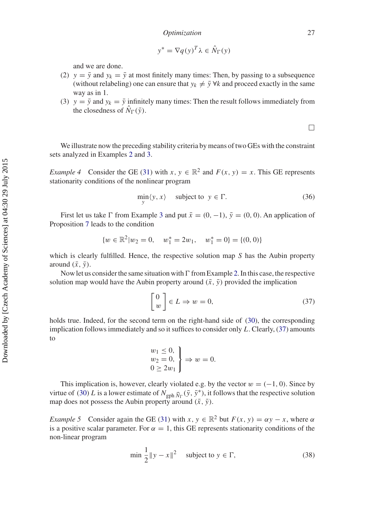$$
y^* = \nabla q(y)^T \lambda \in \hat{N}_{\Gamma}(y)
$$

and we are done.

- (2)  $y = \bar{y}$  and  $y_k = \bar{y}$  at most finitely many times: Then, by passing to a subsequence (without relabeling) one can ensure that  $y_k \neq \overline{y} \forall k$  and proceed exactly in the same way as in 1.
- (3)  $y = \overline{y}$  and  $y_k = \overline{y}$  infinitely many times: Then the result follows immediately from the closedness of  $\hat{N}_{\Gamma}(\bar{y})$ .

 $\Box$ 

<span id="page-28-1"></span>We illustrate now the preceding stability criteria by means of two GEs with the constraint sets analyzed in Examples [2](#page-23-1) and [3.](#page-25-0)

*Example 4* Consider the GE [\(31\)](#page-26-1) with  $x, y \in \mathbb{R}^2$  and  $F(x, y) = x$ . This GE represents stationarity conditions of the nonlinear program

<span id="page-28-3"></span>
$$
\min_{y} \langle y, x \rangle \quad \text{subject to } y \in \Gamma. \tag{36}
$$

First let us take  $\Gamma$  from Example [3](#page-25-0) and put  $\bar{x} = (0, -1)$ ,  $\bar{y} = (0, 0)$ . An application of Proposition [7](#page-26-2) leads to the condition

$$
\{w \in \mathbb{R}^2 | w_2 = 0, \quad w_1^* = 2w_1, \quad w_1^* = 0\} = \{(0, 0)\}
$$

which is clearly fulfilled. Hence, the respective solution map *S* has the Aubin property around  $(\bar{x}, \bar{y})$ .

Now let us consider the same situation with  $\Gamma$  from Example [2.](#page-23-1) In this case, the respective solution map would have the Aubin property around  $(\bar{x}, \bar{y})$  provided the implication

<span id="page-28-0"></span>
$$
\begin{bmatrix} 0 \\ w \end{bmatrix} \in L \Rightarrow w = 0,\tag{37}
$$

holds true. Indeed, for the second term on the right-hand side of [\(30\)](#page-24-1), the corresponding implication follows immediately and so it suffices to consider only *L*. Clearly, [\(37\)](#page-28-0) amounts to

$$
\begin{aligned}\nw_1 &\le 0, \\
w_2 &= 0, \\
0 &\ge 2w_1\n\end{aligned}\n\Rightarrow w = 0.
$$

This implication is, however, clearly violated e.g. by the vector  $w = (-1, 0)$ . Since by virtue of [\(30\)](#page-24-1) *L* is a lower estimate of  $N_{\text{gph}}\hat{N}_{\Gamma}(\bar{y}, \bar{y}^*)$ , it follows that the respective solution  $\lim_{\epsilon \to 0} \cos \alpha$  is a rewer estimate of  $\lim_{\epsilon \to 0} \sin \gamma_{\rm F}(\theta, \theta)$ ,  $\therefore$   $\lim_{\epsilon \to 0} \cos \alpha$ 

<span id="page-28-2"></span>*Example 5* Consider again the GE [\(31\)](#page-26-1) with  $x, y \in \mathbb{R}^2$  but  $F(x, y) = \alpha y - x$ , where  $\alpha$ is a positive scalar parameter. For  $\alpha = 1$ , this GE represents stationarity conditions of the non-linear program

<span id="page-28-4"></span>
$$
\min \frac{1}{2} \|y - x\|^2 \quad \text{subject to } y \in \Gamma,
$$
\n(38)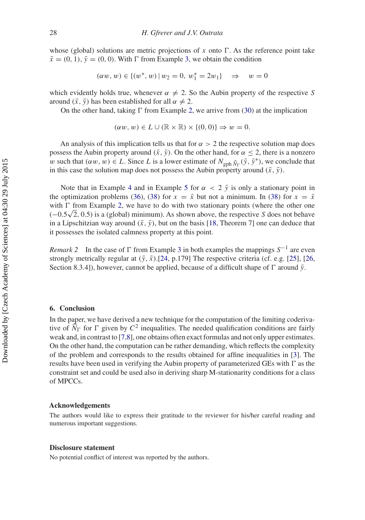whose (global) solutions are metric projections of  $x$  onto  $\Gamma$ . As the reference point take  $\bar{x} = (0, 1), \bar{y} = (0, 0)$ . With  $\Gamma$  from Example [3,](#page-25-0) we obtain the condition

$$
(\alpha w, w) \in \{(w^*, w) \mid w_2 = 0, w_1^* = 2w_1\} \quad \Rightarrow \quad w = 0
$$

which evidently holds true, whenever  $\alpha \neq 2$ . So the Aubin property of the respective *S* around  $(\bar{x}, \bar{y})$  has been established for all  $\alpha \neq 2$ .

On the other hand, taking  $\Gamma$  from Example [2,](#page-23-1) we arrive from [\(30\)](#page-24-1) at the implication

$$
(\alpha w, w) \in L \cup (\mathbb{R} \times \mathbb{R}) \times \{(0, 0)\} \Rightarrow w = 0.
$$

An analysis of this implication tells us that for  $\alpha > 2$  the respective solution map does possess the Aubin property around  $(\bar{x}, \bar{y})$ . On the other hand, for  $\alpha \leq 2$ , there is a nonzero w such that  $(\alpha w, w) \in L$ . Since L is a lower estimate of  $N_{\text{gph}}\hat{N}_{\Gamma}(\bar{y}, \bar{y}^*)$ , we conclude that in this case the solution map does not possess the Aubin property around  $(\bar{x}, \bar{y})$ .

Note that in Example [4](#page-28-1) and in Example [5](#page-28-2) for  $\alpha < 2 \bar{y}$  is only a stationary point in the optimization problems [\(36\)](#page-28-3), [\(38\)](#page-28-4) for  $x = \bar{x}$  but not a minimum. In (38) for  $x = \bar{x}$ with  $\Gamma$  from Example [2,](#page-23-1) we have to do with two stationary points (where the other one with 1 from Example 2, we have to do with two stationary points (where the other one  $(-0.5\sqrt{2}, 0.5)$  is a (global) minimum). As shown above, the respective *S* does not behave in a Lipschitzian way around  $(\bar{x}, \bar{y})$ , but on the basis [\[18](#page-30-15), Theorem 7] one can deduce that it possesses the isolated calmness property at this point.

*Remark 2* In the case of  $\Gamma$  from Example [3](#page-25-0) in both examples the mappings  $S^{-1}$  are even strongly metrically regular at  $(\bar{y}, \bar{x})$ .[\[24,](#page-31-2) p.179] The respective criteria (cf. e.g. [\[25](#page-31-3)], [\[26](#page-31-4), Section 8.3.4]), however, cannot be applied, because of a difficult shape of  $\Gamma$  around  $\bar{y}$ .

#### **6. Conclusion**

In the paper, we have derived a new technique for the computation of the limiting coderivative of  $\widehat{N}_{\Gamma}$  for  $\Gamma$  given by  $C^2$  inequalities. The needed qualification conditions are fairly weak and, in contrast to [\[7](#page-30-6)[,8](#page-30-7)], one obtains often exact formulas and not only upper estimates. On the other hand, the computation can be rather demanding, which reflects the complexity of the problem and corresponds to the results obtained for affine inequalities in [\[3](#page-30-2)]. The results have been used in verifying the Aubin property of parameterized GEs with  $\Gamma$  as the constraint set and could be used also in deriving sharp M-stationarity conditions for a class of MPCCs.

#### **Acknowledgements**

The authors would like to express their gratitude to the reviewer for his/her careful reading and numerous important suggestions.

#### **Disclosure statement**

No potential conflict of interest was reported by the authors.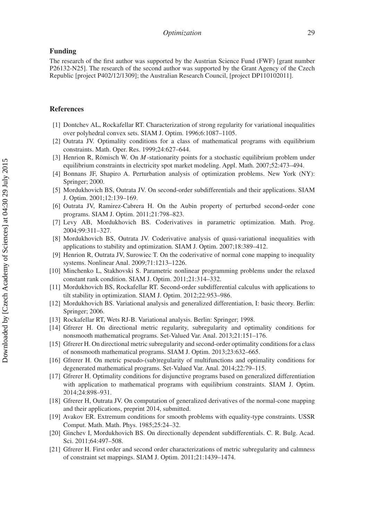#### **Funding**

The research of the first author was supported by the Austrian Science Fund (FWF) [grant number P26132-N25]. The research of the second author was supported by the Grant Agency of the Czech Republic [project P402/12/1309]; the Australian Research Council, [project DP110102011].

#### **References**

- <span id="page-30-0"></span>[1] Dontchev AL, Rockafellar RT. Characterization of strong regularity for variational inequalities over polyhedral convex sets. SIAM J. Optim. 1996;6:1087–1105.
- <span id="page-30-1"></span>[2] Outrata JV. Optimality conditions for a class of mathematical programs with equilibrium constraints. Math. Oper. Res. 1999;24:627–644.
- <span id="page-30-2"></span>[3] Henrion R, Römisch W. On *M* -stationarity points for a stochastic equilibrium problem under equilibrium constraints in electricity spot market modeling. Appl. Math. 2007;52:473–494.
- <span id="page-30-3"></span>[4] Bonnans JF, Shapiro A. Perturbation analysis of optimization problems. New York (NY): Springer; 2000.
- <span id="page-30-4"></span>[5] Mordukhovich BS, Outrata JV. On second-order subdifferentials and their applications. SIAM J. Optim. 2001;12:139–169.
- <span id="page-30-5"></span>[6] Outrata JV, Ramirez-Cabrera H. On the Aubin property of perturbed second-order cone programs. SIAM J. Optim. 2011;21:798–823.
- <span id="page-30-6"></span>[7] Levy AB, Mordukhovich BS. Coderivatives in parametric optimization. Math. Prog. 2004;99:311–327.
- <span id="page-30-7"></span>[8] Mordukhovich BS, Outrata JV. Coderivative analysis of quasi-variational inequalities with applications to stability and optimization. SIAM J. Optim. 2007;18:389–412.
- <span id="page-30-8"></span>[9] Henrion R, Outrata JV, Surowiec T. On the coderivative of normal cone mapping to inequality systems. Nonlinear Anal. 2009;71:1213–1226.
- <span id="page-30-9"></span>[10] Minchenko L, Stakhovski S. Parametric nonlinear programming problems under the relaxed constant rank condition. SIAM J. Optim. 2011;21:314–332.
- <span id="page-30-10"></span>[11] Mordukhovich BS, Rockafellar RT. Second-order subdifferential calculus with applications to tilt stability in optimization. SIAM J. Optim. 2012;22:953–986.
- <span id="page-30-11"></span>[12] Mordukhovich BS. Variational analysis and generalized differentiation, I: basic theory. Berlin: Springer; 2006.
- <span id="page-30-12"></span>[13] Rockafellar RT, Wets RJ-B. Variational analysis. Berlin: Springer; 1998.
- <span id="page-30-13"></span>[14] Gfrerer H. On directional metric regularity, subregularity and optimality conditions for nonsmooth mathematical programs. Set-Valued Var. Anal. 2013;21:151–176.
- [15] Gfrerer H. On directional metric subregularity and second-order optimality conditions for a class of nonsmooth mathematical programs. SIAM J. Optim. 2013;23:632–665.
- <span id="page-30-19"></span>[16] Gfrerer H. On metric pseudo-(sub)regularity of multifunctions and optimality conditions for degenerated mathematical programs. Set-Valued Var. Anal. 2014;22:79–115.
- <span id="page-30-14"></span>[17] Gfrerer H. Optimality conditions for disjunctive programs based on generalized differentiation with application to mathematical programs with equilibrium constraints. SIAM J. Optim. 2014;24:898–931.
- <span id="page-30-15"></span>[18] Gfrerer H, Outrata JV. On computation of generalized derivatives of the normal-cone mapping and their applications, preprint 2014, submitted.
- <span id="page-30-16"></span>[19] Avakov ER. Extremum conditions for smooth problems with equality-type constraints. USSR Comput. Math. Math. Phys. 1985;25:24–32.
- <span id="page-30-17"></span>[20] Ginchev I, Mordukhovich BS. On directionally dependent subdifferentials. C. R. Bulg. Acad. Sci. 2011;64:497–508.
- <span id="page-30-18"></span>[21] Gfrerer H. First order and second order characterizations of metric subregularity and calmness of constraint set mappings. SIAM J. Optim. 2011;21:1439–1474.